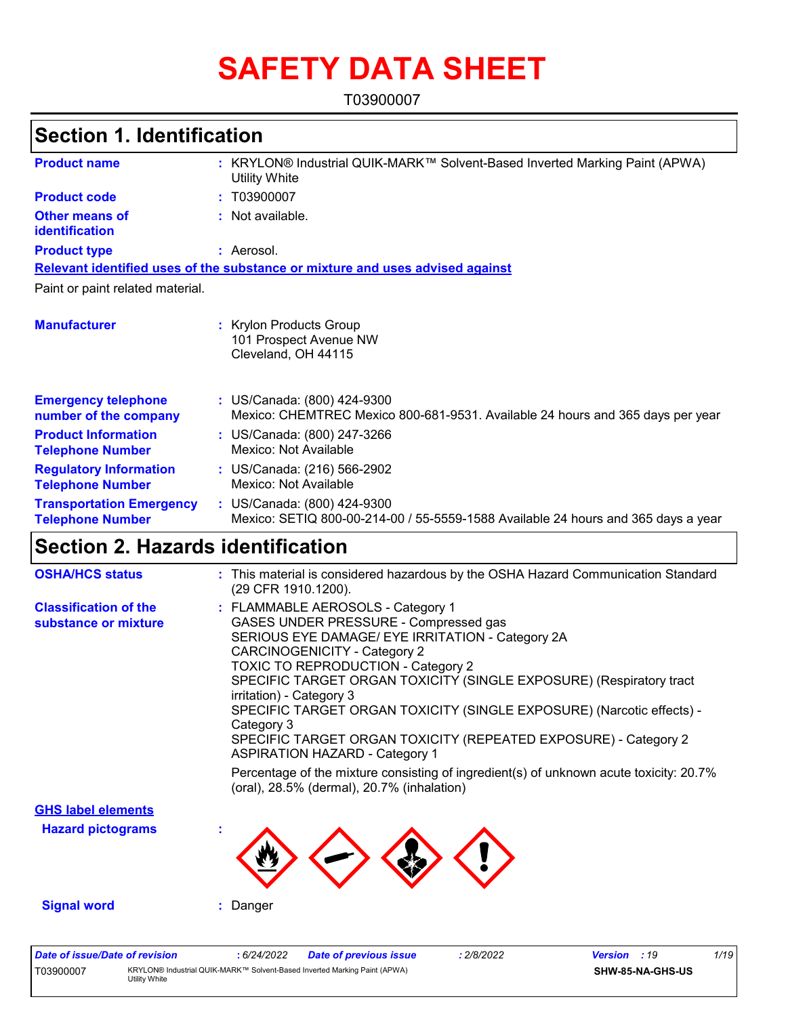# **SAFETY DATA SHEET**

T03900007

# **Section 1. Identification**

| <b>Product name</b>                                        | KRYLON® Industrial QUIK-MARK™ Solvent-Based Inverted Marking Paint (APWA)<br><b>Utility White</b>                |
|------------------------------------------------------------|------------------------------------------------------------------------------------------------------------------|
| <b>Product code</b>                                        | T03900007<br>t.                                                                                                  |
| <b>Other means of</b><br><b>identification</b>             | Not available.                                                                                                   |
| <b>Product type</b>                                        | : Aerosol.                                                                                                       |
|                                                            | Relevant identified uses of the substance or mixture and uses advised against                                    |
| Paint or paint related material.                           |                                                                                                                  |
| <b>Manufacturer</b>                                        | Krylon Products Group<br>101 Prospect Avenue NW<br>Cleveland, OH 44115                                           |
| <b>Emergency telephone</b><br>number of the company        | : US/Canada: (800) 424-9300<br>Mexico: CHEMTREC Mexico 800-681-9531. Available 24 hours and 365 days per year    |
| <b>Product Information</b><br><b>Telephone Number</b>      | : US/Canada: (800) 247-3266<br>Mexico: Not Available                                                             |
| <b>Regulatory Information</b><br><b>Telephone Number</b>   | : US/Canada: (216) 566-2902<br>Mexico: Not Available                                                             |
| <b>Transportation Emergency</b><br><b>Telephone Number</b> | : US/Canada: (800) 424-9300<br>Mexico: SETIQ 800-00-214-00 / 55-5559-1588 Available 24 hours and 365 days a year |

## **Section 2. Hazards identification**

| <b>OSHA/HCS status</b>                               | : This material is considered hazardous by the OSHA Hazard Communication Standard<br>(29 CFR 1910.1200).                                                                                                                                                                                                                                                                                                                                                                                                                                                                                                                                                         |
|------------------------------------------------------|------------------------------------------------------------------------------------------------------------------------------------------------------------------------------------------------------------------------------------------------------------------------------------------------------------------------------------------------------------------------------------------------------------------------------------------------------------------------------------------------------------------------------------------------------------------------------------------------------------------------------------------------------------------|
| <b>Classification of the</b><br>substance or mixture | : FLAMMABLE AEROSOLS - Category 1<br>GASES UNDER PRESSURE - Compressed gas<br>SERIOUS EYE DAMAGE/ EYE IRRITATION - Category 2A<br><b>CARCINOGENICITY - Category 2</b><br><b>TOXIC TO REPRODUCTION - Category 2</b><br>SPECIFIC TARGET ORGAN TOXICITY (SINGLE EXPOSURE) (Respiratory tract<br>irritation) - Category 3<br>SPECIFIC TARGET ORGAN TOXICITY (SINGLE EXPOSURE) (Narcotic effects) -<br>Category 3<br>SPECIFIC TARGET ORGAN TOXICITY (REPEATED EXPOSURE) - Category 2<br><b>ASPIRATION HAZARD - Category 1</b><br>Percentage of the mixture consisting of ingredient(s) of unknown acute toxicity: 20.7%<br>(oral), 28.5% (dermal), 20.7% (inhalation) |
| <b>GHS label elements</b>                            |                                                                                                                                                                                                                                                                                                                                                                                                                                                                                                                                                                                                                                                                  |
| <b>Hazard pictograms</b>                             |                                                                                                                                                                                                                                                                                                                                                                                                                                                                                                                                                                                                                                                                  |
| <b>Signal word</b>                                   | : Danger                                                                                                                                                                                                                                                                                                                                                                                                                                                                                                                                                                                                                                                         |

| Date of issue/Date of revision |                                                                                            | : 6/24/2022 | <b>Date of previous issue</b> | 2/8/2022 | <b>Version</b> : 19 |                         | 1/19 |
|--------------------------------|--------------------------------------------------------------------------------------------|-------------|-------------------------------|----------|---------------------|-------------------------|------|
| T03900007                      | KRYLON® Industrial QUIK-MARK™ Solvent-Based Inverted Marking Paint (APWA)<br>Utilitv White |             |                               |          |                     | <b>SHW-85-NA-GHS-US</b> |      |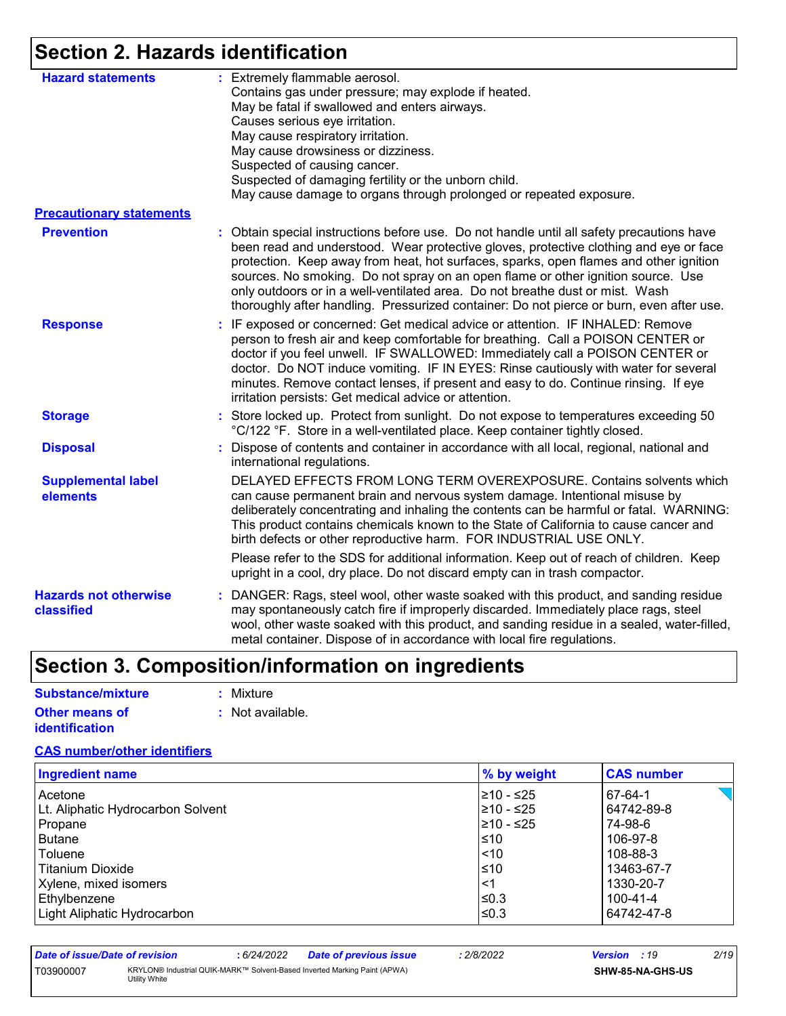# **Section 2. Hazards identification**

| <b>Hazard statements</b>                   | : Extremely flammable aerosol.<br>Contains gas under pressure; may explode if heated.                                                                                                                                                                                                                                                                                                                                                                                                                                                        |
|--------------------------------------------|----------------------------------------------------------------------------------------------------------------------------------------------------------------------------------------------------------------------------------------------------------------------------------------------------------------------------------------------------------------------------------------------------------------------------------------------------------------------------------------------------------------------------------------------|
|                                            | May be fatal if swallowed and enters airways.                                                                                                                                                                                                                                                                                                                                                                                                                                                                                                |
|                                            | Causes serious eye irritation.                                                                                                                                                                                                                                                                                                                                                                                                                                                                                                               |
|                                            | May cause respiratory irritation.                                                                                                                                                                                                                                                                                                                                                                                                                                                                                                            |
|                                            | May cause drowsiness or dizziness.                                                                                                                                                                                                                                                                                                                                                                                                                                                                                                           |
|                                            | Suspected of causing cancer.                                                                                                                                                                                                                                                                                                                                                                                                                                                                                                                 |
|                                            | Suspected of damaging fertility or the unborn child.                                                                                                                                                                                                                                                                                                                                                                                                                                                                                         |
|                                            | May cause damage to organs through prolonged or repeated exposure.                                                                                                                                                                                                                                                                                                                                                                                                                                                                           |
| <b>Precautionary statements</b>            |                                                                                                                                                                                                                                                                                                                                                                                                                                                                                                                                              |
| <b>Prevention</b>                          | : Obtain special instructions before use. Do not handle until all safety precautions have<br>been read and understood. Wear protective gloves, protective clothing and eye or face<br>protection. Keep away from heat, hot surfaces, sparks, open flames and other ignition<br>sources. No smoking. Do not spray on an open flame or other ignition source. Use<br>only outdoors or in a well-ventilated area. Do not breathe dust or mist. Wash<br>thoroughly after handling. Pressurized container: Do not pierce or burn, even after use. |
| <b>Response</b>                            | : IF exposed or concerned: Get medical advice or attention. IF INHALED: Remove<br>person to fresh air and keep comfortable for breathing. Call a POISON CENTER or<br>doctor if you feel unwell. IF SWALLOWED: Immediately call a POISON CENTER or<br>doctor. Do NOT induce vomiting. IF IN EYES: Rinse cautiously with water for several<br>minutes. Remove contact lenses, if present and easy to do. Continue rinsing. If eye<br>irritation persists: Get medical advice or attention.                                                     |
| <b>Storage</b>                             | : Store locked up. Protect from sunlight. Do not expose to temperatures exceeding 50<br>°C/122 °F. Store in a well-ventilated place. Keep container tightly closed.                                                                                                                                                                                                                                                                                                                                                                          |
| <b>Disposal</b>                            | Dispose of contents and container in accordance with all local, regional, national and<br>international regulations.                                                                                                                                                                                                                                                                                                                                                                                                                         |
| <b>Supplemental label</b><br>elements      | DELAYED EFFECTS FROM LONG TERM OVEREXPOSURE. Contains solvents which<br>can cause permanent brain and nervous system damage. Intentional misuse by<br>deliberately concentrating and inhaling the contents can be harmful or fatal. WARNING:<br>This product contains chemicals known to the State of California to cause cancer and<br>birth defects or other reproductive harm. FOR INDUSTRIAL USE ONLY.<br>Please refer to the SDS for additional information. Keep out of reach of children. Keep                                        |
|                                            | upright in a cool, dry place. Do not discard empty can in trash compactor.                                                                                                                                                                                                                                                                                                                                                                                                                                                                   |
| <b>Hazards not otherwise</b><br>classified | : DANGER: Rags, steel wool, other waste soaked with this product, and sanding residue<br>may spontaneously catch fire if improperly discarded. Immediately place rags, steel<br>wool, other waste soaked with this product, and sanding residue in a sealed, water-filled,<br>metal container. Dispose of in accordance with local fire regulations.                                                                                                                                                                                         |

# **Section 3. Composition/information on ingredients**

| <b>Substance/mixture</b> | : Mixture        |
|--------------------------|------------------|
| <b>Other means of</b>    | : Not available. |
| identification           |                  |

#### **CAS number/other identifiers**

| <b>Ingredient name</b>            | % by weight | <b>CAS number</b> |
|-----------------------------------|-------------|-------------------|
| Acetone                           | 1≥10 - ≤25  | 67-64-1           |
| Lt. Aliphatic Hydrocarbon Solvent | 210 - ≤25   | 64742-89-8        |
| Propane                           | 210 - ≤25   | 74-98-6           |
| <b>Butane</b>                     | ≤10         | 106-97-8          |
| Toluene                           | 1 10        | 108-88-3          |
| Titanium Dioxide                  | $\leq 10$   | 13463-67-7        |
| Xylene, mixed isomers             | $\leq$ 1    | 1330-20-7         |
| Ethylbenzene                      | ≤0.3        | 100-41-4          |
| Light Aliphatic Hydrocarbon       | l≤0.3       | 64742-47-8        |

| Date of issue/Date of revision |                                                                                            | 6/24/2022 | <b>Date of previous issue</b> | 2/8/2022 | <b>Version</b> : 19 |                  | 2/19 |
|--------------------------------|--------------------------------------------------------------------------------------------|-----------|-------------------------------|----------|---------------------|------------------|------|
| T03900007                      | KRYLON® Industrial QUIK-MARK™ Solvent-Based Inverted Marking Paint (APWA)<br>Utility White |           |                               |          |                     | SHW-85-NA-GHS-US |      |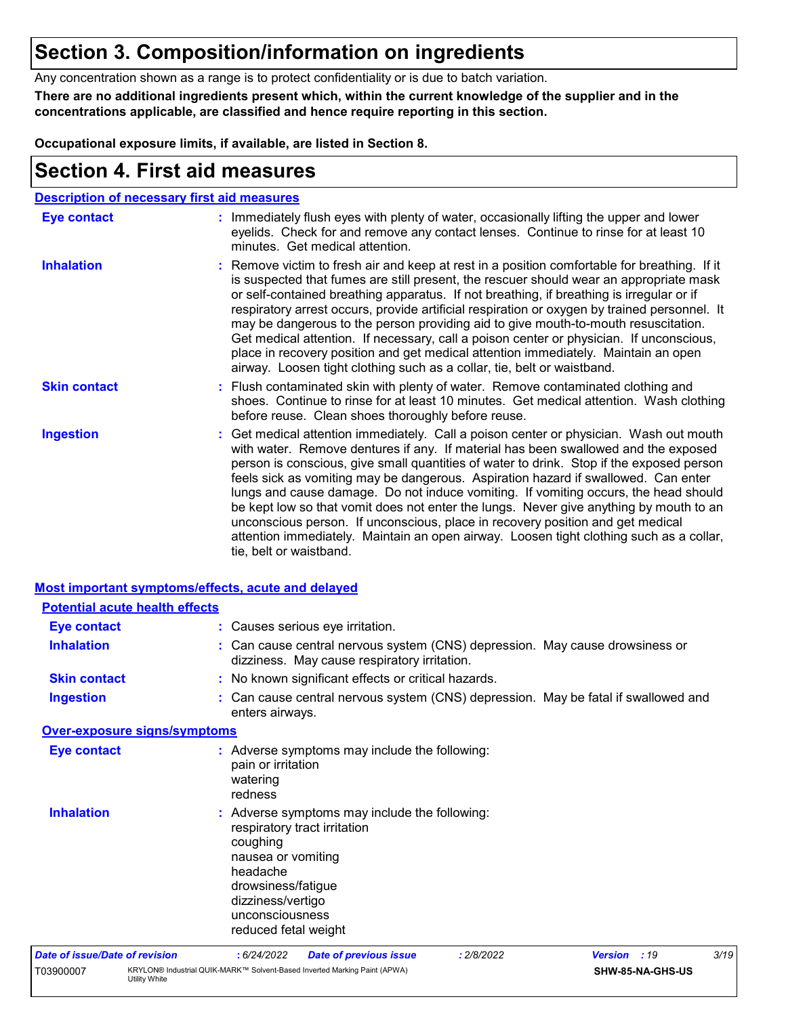## **Section 3. Composition/information on ingredients**

Any concentration shown as a range is to protect confidentiality or is due to batch variation.

**There are no additional ingredients present which, within the current knowledge of the supplier and in the concentrations applicable, are classified and hence require reporting in this section.**

**Occupational exposure limits, if available, are listed in Section 8.**

## **Section 4. First aid measures**

| <b>Description of necessary first aid measures</b> |                                                                                                                                                                                                                                                                                                                                                                                                                                                                                                                                                                                                                                                                                                                                                         |
|----------------------------------------------------|---------------------------------------------------------------------------------------------------------------------------------------------------------------------------------------------------------------------------------------------------------------------------------------------------------------------------------------------------------------------------------------------------------------------------------------------------------------------------------------------------------------------------------------------------------------------------------------------------------------------------------------------------------------------------------------------------------------------------------------------------------|
| <b>Eye contact</b>                                 | : Immediately flush eyes with plenty of water, occasionally lifting the upper and lower<br>eyelids. Check for and remove any contact lenses. Continue to rinse for at least 10<br>minutes. Get medical attention.                                                                                                                                                                                                                                                                                                                                                                                                                                                                                                                                       |
| <b>Inhalation</b>                                  | : Remove victim to fresh air and keep at rest in a position comfortable for breathing. If it<br>is suspected that fumes are still present, the rescuer should wear an appropriate mask<br>or self-contained breathing apparatus. If not breathing, if breathing is irregular or if<br>respiratory arrest occurs, provide artificial respiration or oxygen by trained personnel. It<br>may be dangerous to the person providing aid to give mouth-to-mouth resuscitation.<br>Get medical attention. If necessary, call a poison center or physician. If unconscious,<br>place in recovery position and get medical attention immediately. Maintain an open<br>airway. Loosen tight clothing such as a collar, tie, belt or waistband.                    |
| <b>Skin contact</b>                                | : Flush contaminated skin with plenty of water. Remove contaminated clothing and<br>shoes. Continue to rinse for at least 10 minutes. Get medical attention. Wash clothing<br>before reuse. Clean shoes thoroughly before reuse.                                                                                                                                                                                                                                                                                                                                                                                                                                                                                                                        |
| <b>Ingestion</b>                                   | : Get medical attention immediately. Call a poison center or physician. Wash out mouth<br>with water. Remove dentures if any. If material has been swallowed and the exposed<br>person is conscious, give small quantities of water to drink. Stop if the exposed person<br>feels sick as vomiting may be dangerous. Aspiration hazard if swallowed. Can enter<br>lungs and cause damage. Do not induce vomiting. If vomiting occurs, the head should<br>be kept low so that vomit does not enter the lungs. Never give anything by mouth to an<br>unconscious person. If unconscious, place in recovery position and get medical<br>attention immediately. Maintain an open airway. Loosen tight clothing such as a collar,<br>tie, belt or waistband. |

|                                       | <b>Most important symptoms/effects, acute and delayed</b> |                                                                                                                                                                  |                                                                                                                              |            |                |                  |      |
|---------------------------------------|-----------------------------------------------------------|------------------------------------------------------------------------------------------------------------------------------------------------------------------|------------------------------------------------------------------------------------------------------------------------------|------------|----------------|------------------|------|
|                                       | <b>Potential acute health effects</b>                     |                                                                                                                                                                  |                                                                                                                              |            |                |                  |      |
| <b>Eye contact</b>                    |                                                           |                                                                                                                                                                  | : Causes serious eye irritation.                                                                                             |            |                |                  |      |
| <b>Inhalation</b>                     |                                                           |                                                                                                                                                                  | : Can cause central nervous system (CNS) depression. May cause drowsiness or<br>dizziness. May cause respiratory irritation. |            |                |                  |      |
| <b>Skin contact</b>                   |                                                           |                                                                                                                                                                  | : No known significant effects or critical hazards.                                                                          |            |                |                  |      |
| <b>Ingestion</b>                      |                                                           | enters airways.                                                                                                                                                  | : Can cause central nervous system (CNS) depression. May be fatal if swallowed and                                           |            |                |                  |      |
|                                       | <b>Over-exposure signs/symptoms</b>                       |                                                                                                                                                                  |                                                                                                                              |            |                |                  |      |
| <b>Eye contact</b>                    |                                                           | pain or irritation<br>watering<br>redness                                                                                                                        | : Adverse symptoms may include the following:                                                                                |            |                |                  |      |
| <b>Inhalation</b>                     |                                                           | respiratory tract irritation<br>coughing<br>nausea or vomiting<br>headache<br>drowsiness/fatigue<br>dizziness/vertigo<br>unconsciousness<br>reduced fetal weight | : Adverse symptoms may include the following:                                                                                |            |                |                  |      |
| <b>Date of issue/Date of revision</b> |                                                           | :6/24/2022                                                                                                                                                       | <b>Date of previous issue</b>                                                                                                | : 2/8/2022 | <b>Version</b> | :19              | 3/19 |
| T03900007                             | Utility White                                             |                                                                                                                                                                  | KRYLON® Industrial QUIK-MARK™ Solvent-Based Inverted Marking Paint (APWA)                                                    |            |                | SHW-85-NA-GHS-US |      |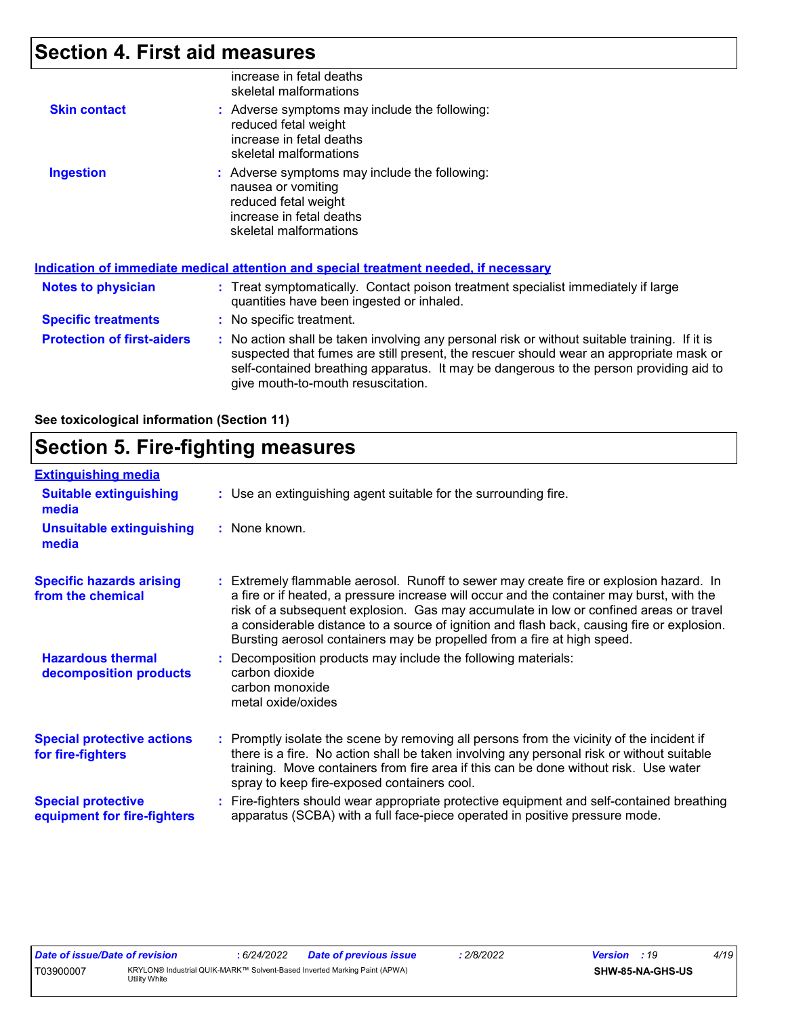## **Section 4. First aid measures**

|                                   | increase in fetal deaths<br>skeletal malformations                                                                                                                                                                                                                                                                      |
|-----------------------------------|-------------------------------------------------------------------------------------------------------------------------------------------------------------------------------------------------------------------------------------------------------------------------------------------------------------------------|
| <b>Skin contact</b>               | : Adverse symptoms may include the following:<br>reduced fetal weight<br>increase in fetal deaths<br>skeletal malformations                                                                                                                                                                                             |
| <b>Ingestion</b>                  | : Adverse symptoms may include the following:<br>nausea or vomiting<br>reduced fetal weight<br>increase in fetal deaths<br>skeletal malformations                                                                                                                                                                       |
|                                   | <u>Indication of immediate medical attention and special treatment needed, if necessary</u>                                                                                                                                                                                                                             |
| Notes to physician                | : Treat symptomatically. Contact poison treatment specialist immediately if large<br>quantities have been ingested or inhaled.                                                                                                                                                                                          |
| <b>Specific treatments</b>        | : No specific treatment.                                                                                                                                                                                                                                                                                                |
| <b>Protection of first-aiders</b> | : No action shall be taken involving any personal risk or without suitable training. If it is<br>suspected that fumes are still present, the rescuer should wear an appropriate mask or<br>self-contained breathing apparatus. It may be dangerous to the person providing aid to<br>give mouth-to-mouth resuscitation. |

**See toxicological information (Section 11)**

## **Section 5. Fire-fighting measures**

| <b>Extinguishing media</b>                               |                                                                                                                                                                                                                                                                                                                                                                                                                                                       |
|----------------------------------------------------------|-------------------------------------------------------------------------------------------------------------------------------------------------------------------------------------------------------------------------------------------------------------------------------------------------------------------------------------------------------------------------------------------------------------------------------------------------------|
| <b>Suitable extinguishing</b><br>media                   | : Use an extinguishing agent suitable for the surrounding fire.                                                                                                                                                                                                                                                                                                                                                                                       |
| <b>Unsuitable extinguishing</b><br>media                 | : None known.                                                                                                                                                                                                                                                                                                                                                                                                                                         |
| <b>Specific hazards arising</b><br>from the chemical     | : Extremely flammable aerosol. Runoff to sewer may create fire or explosion hazard. In<br>a fire or if heated, a pressure increase will occur and the container may burst, with the<br>risk of a subsequent explosion. Gas may accumulate in low or confined areas or travel<br>a considerable distance to a source of ignition and flash back, causing fire or explosion.<br>Bursting aerosol containers may be propelled from a fire at high speed. |
| <b>Hazardous thermal</b><br>decomposition products       | Decomposition products may include the following materials:<br>carbon dioxide<br>carbon monoxide<br>metal oxide/oxides                                                                                                                                                                                                                                                                                                                                |
| <b>Special protective actions</b><br>for fire-fighters   | Promptly isolate the scene by removing all persons from the vicinity of the incident if<br>there is a fire. No action shall be taken involving any personal risk or without suitable<br>training. Move containers from fire area if this can be done without risk. Use water<br>spray to keep fire-exposed containers cool.                                                                                                                           |
| <b>Special protective</b><br>equipment for fire-fighters | Fire-fighters should wear appropriate protective equipment and self-contained breathing<br>apparatus (SCBA) with a full face-piece operated in positive pressure mode.                                                                                                                                                                                                                                                                                |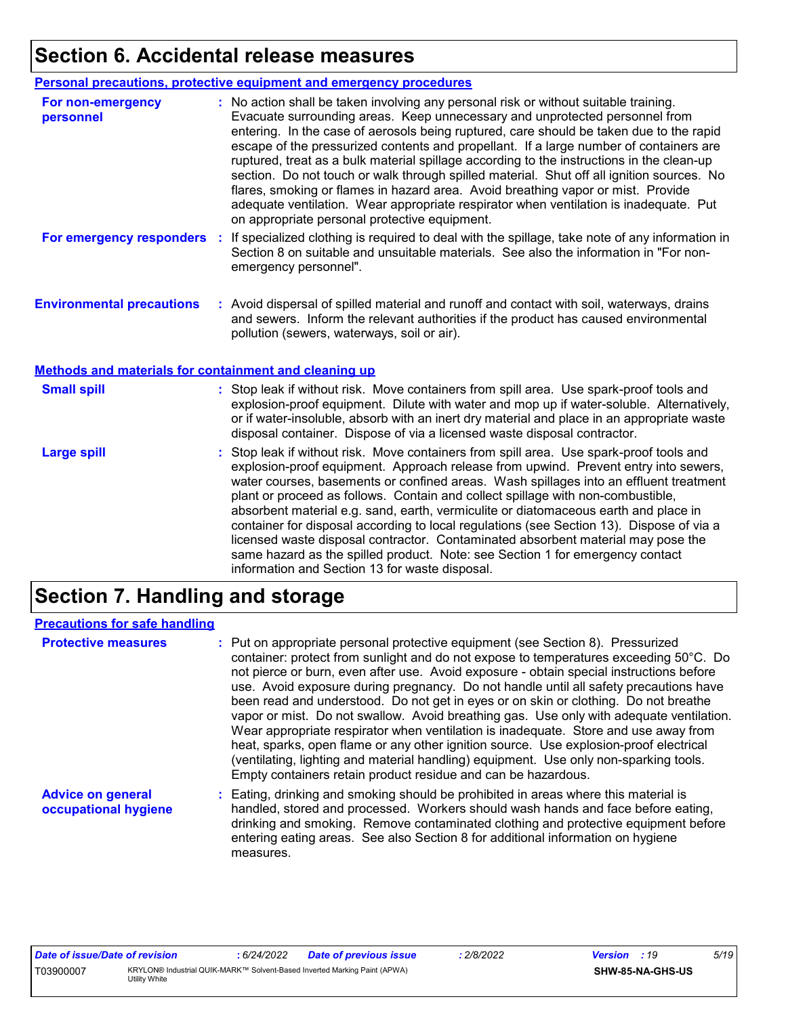## **Section 6. Accidental release measures**

|                                                              | <b>Personal precautions, protective equipment and emergency procedures</b>                                                                                                                                                                                                                                                                                                                                                                                                                                                                                                                                                                                                                                                                                                       |
|--------------------------------------------------------------|----------------------------------------------------------------------------------------------------------------------------------------------------------------------------------------------------------------------------------------------------------------------------------------------------------------------------------------------------------------------------------------------------------------------------------------------------------------------------------------------------------------------------------------------------------------------------------------------------------------------------------------------------------------------------------------------------------------------------------------------------------------------------------|
| For non-emergency<br>personnel                               | : No action shall be taken involving any personal risk or without suitable training.<br>Evacuate surrounding areas. Keep unnecessary and unprotected personnel from<br>entering. In the case of aerosols being ruptured, care should be taken due to the rapid<br>escape of the pressurized contents and propellant. If a large number of containers are<br>ruptured, treat as a bulk material spillage according to the instructions in the clean-up<br>section. Do not touch or walk through spilled material. Shut off all ignition sources. No<br>flares, smoking or flames in hazard area. Avoid breathing vapor or mist. Provide<br>adequate ventilation. Wear appropriate respirator when ventilation is inadequate. Put<br>on appropriate personal protective equipment. |
| For emergency responders                                     | : If specialized clothing is required to deal with the spillage, take note of any information in<br>Section 8 on suitable and unsuitable materials. See also the information in "For non-<br>emergency personnel".                                                                                                                                                                                                                                                                                                                                                                                                                                                                                                                                                               |
| <b>Environmental precautions</b>                             | : Avoid dispersal of spilled material and runoff and contact with soil, waterways, drains<br>and sewers. Inform the relevant authorities if the product has caused environmental<br>pollution (sewers, waterways, soil or air).                                                                                                                                                                                                                                                                                                                                                                                                                                                                                                                                                  |
| <b>Methods and materials for containment and cleaning up</b> |                                                                                                                                                                                                                                                                                                                                                                                                                                                                                                                                                                                                                                                                                                                                                                                  |
| <b>Small spill</b>                                           | : Stop leak if without risk. Move containers from spill area. Use spark-proof tools and<br>explosion-proof equipment. Dilute with water and mop up if water-soluble. Alternatively,<br>or if water-insoluble, absorb with an inert dry material and place in an appropriate waste<br>disposal container. Dispose of via a licensed waste disposal contractor.                                                                                                                                                                                                                                                                                                                                                                                                                    |
| <b>Large spill</b>                                           | : Stop leak if without risk. Move containers from spill area. Use spark-proof tools and<br>explosion-proof equipment. Approach release from upwind. Prevent entry into sewers,<br>water courses, basements or confined areas. Wash spillages into an effluent treatment<br>plant or proceed as follows. Contain and collect spillage with non-combustible,<br>absorbent material e.g. sand, earth, vermiculite or diatomaceous earth and place in<br>container for disposal according to local regulations (see Section 13). Dispose of via a<br>licensed waste disposal contractor. Contaminated absorbent material may pose the<br>same hazard as the spilled product. Note: see Section 1 for emergency contact<br>information and Section 13 for waste disposal.             |

## **Section 7. Handling and storage**

#### **Precautions for safe handling**

| <b>Protective measures</b>                       | : Put on appropriate personal protective equipment (see Section 8). Pressurized<br>container: protect from sunlight and do not expose to temperatures exceeding 50°C. Do<br>not pierce or burn, even after use. Avoid exposure - obtain special instructions before<br>use. Avoid exposure during pregnancy. Do not handle until all safety precautions have<br>been read and understood. Do not get in eyes or on skin or clothing. Do not breathe<br>vapor or mist. Do not swallow. Avoid breathing gas. Use only with adequate ventilation.<br>Wear appropriate respirator when ventilation is inadequate. Store and use away from<br>heat, sparks, open flame or any other ignition source. Use explosion-proof electrical<br>(ventilating, lighting and material handling) equipment. Use only non-sparking tools.<br>Empty containers retain product residue and can be hazardous. |
|--------------------------------------------------|------------------------------------------------------------------------------------------------------------------------------------------------------------------------------------------------------------------------------------------------------------------------------------------------------------------------------------------------------------------------------------------------------------------------------------------------------------------------------------------------------------------------------------------------------------------------------------------------------------------------------------------------------------------------------------------------------------------------------------------------------------------------------------------------------------------------------------------------------------------------------------------|
| <b>Advice on general</b><br>occupational hygiene | : Eating, drinking and smoking should be prohibited in areas where this material is<br>handled, stored and processed. Workers should wash hands and face before eating,<br>drinking and smoking. Remove contaminated clothing and protective equipment before<br>entering eating areas. See also Section 8 for additional information on hygiene<br>measures.                                                                                                                                                                                                                                                                                                                                                                                                                                                                                                                            |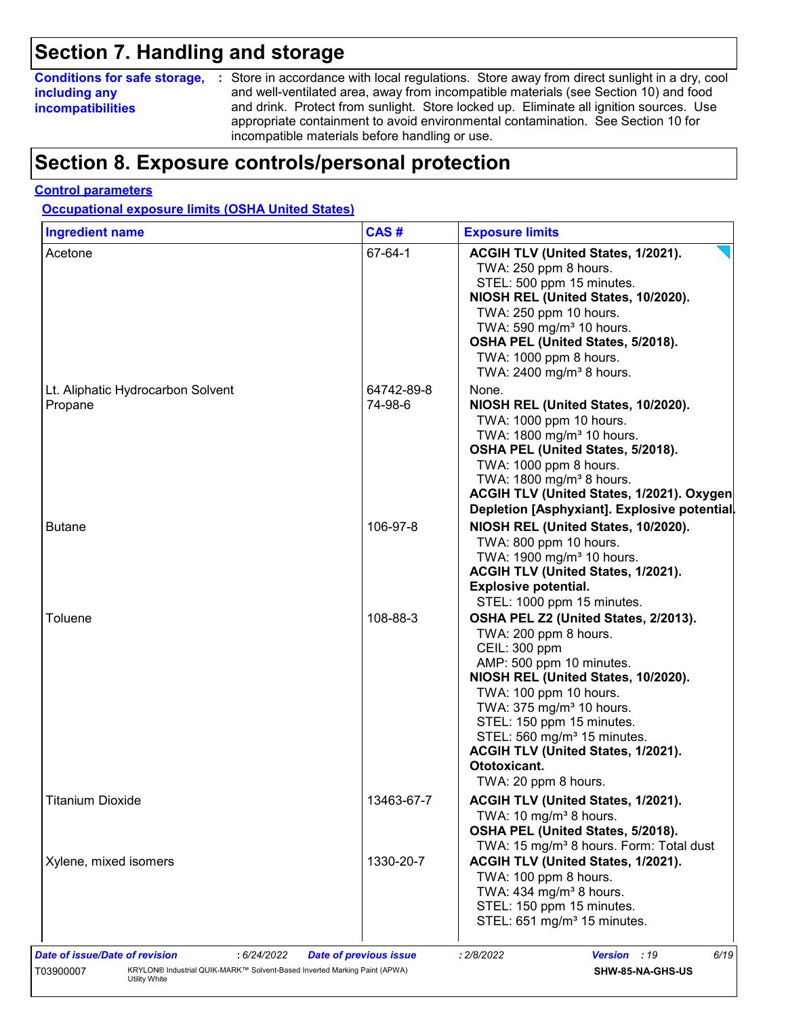## **Section 7. Handling and storage**

### **including any incompatibilities**

**Conditions for safe storage,** : Store in accordance with local regulations. Store away from direct sunlight in a dry, cool and well-ventilated area, away from incompatible materials (see Section 10) and food and drink. Protect from sunlight. Store locked up. Eliminate all ignition sources. Use appropriate containment to avoid environmental contamination. See Section 10 for incompatible materials before handling or use.

## **Section 8. Exposure controls/personal protection**

#### **Control parameters**

**Occupational exposure limits (OSHA United States)**

| <b>Ingredient name</b>                       | CAS#                  | <b>Exposure limits</b>                                                                                                                                                                                                                                                                                                                                                    |
|----------------------------------------------|-----------------------|---------------------------------------------------------------------------------------------------------------------------------------------------------------------------------------------------------------------------------------------------------------------------------------------------------------------------------------------------------------------------|
| Acetone                                      | 67-64-1               | ACGIH TLV (United States, 1/2021).<br>TWA: 250 ppm 8 hours.<br>STEL: 500 ppm 15 minutes.<br>NIOSH REL (United States, 10/2020).<br>TWA: 250 ppm 10 hours.<br>TWA: 590 mg/m <sup>3</sup> 10 hours.<br>OSHA PEL (United States, 5/2018).<br>TWA: 1000 ppm 8 hours.<br>TWA: 2400 mg/m <sup>3</sup> 8 hours.                                                                  |
| Lt. Aliphatic Hydrocarbon Solvent<br>Propane | 64742-89-8<br>74-98-6 | None.<br>NIOSH REL (United States, 10/2020).<br>TWA: 1000 ppm 10 hours.<br>TWA: 1800 mg/m <sup>3</sup> 10 hours.<br>OSHA PEL (United States, 5/2018).<br>TWA: 1000 ppm 8 hours.<br>TWA: 1800 mg/m <sup>3</sup> 8 hours.<br>ACGIH TLV (United States, 1/2021). Oxygen<br>Depletion [Asphyxiant]. Explosive potential.                                                      |
| <b>Butane</b>                                | 106-97-8              | NIOSH REL (United States, 10/2020).<br>TWA: 800 ppm 10 hours.<br>TWA: 1900 mg/m <sup>3</sup> 10 hours.<br>ACGIH TLV (United States, 1/2021).<br><b>Explosive potential.</b><br>STEL: 1000 ppm 15 minutes.                                                                                                                                                                 |
| Toluene                                      | 108-88-3              | OSHA PEL Z2 (United States, 2/2013).<br>TWA: 200 ppm 8 hours.<br>CEIL: 300 ppm<br>AMP: 500 ppm 10 minutes.<br>NIOSH REL (United States, 10/2020).<br>TWA: 100 ppm 10 hours.<br>TWA: 375 mg/m <sup>3</sup> 10 hours.<br>STEL: 150 ppm 15 minutes.<br>STEL: 560 mg/m <sup>3</sup> 15 minutes.<br>ACGIH TLV (United States, 1/2021).<br>Ototoxicant.<br>TWA: 20 ppm 8 hours. |
| <b>Titanium Dioxide</b>                      | 13463-67-7            | ACGIH TLV (United States, 1/2021).<br>TWA: 10 mg/m <sup>3</sup> 8 hours.<br>OSHA PEL (United States, 5/2018).<br>TWA: 15 mg/m <sup>3</sup> 8 hours. Form: Total dust                                                                                                                                                                                                      |
| Xylene, mixed isomers                        | 1330-20-7             | ACGIH TLV (United States, 1/2021).<br>TWA: 100 ppm 8 hours.<br>TWA: $434$ mg/m <sup>3</sup> 8 hours.<br>STEL: 150 ppm 15 minutes.<br>STEL: 651 mg/m <sup>3</sup> 15 minutes.                                                                                                                                                                                              |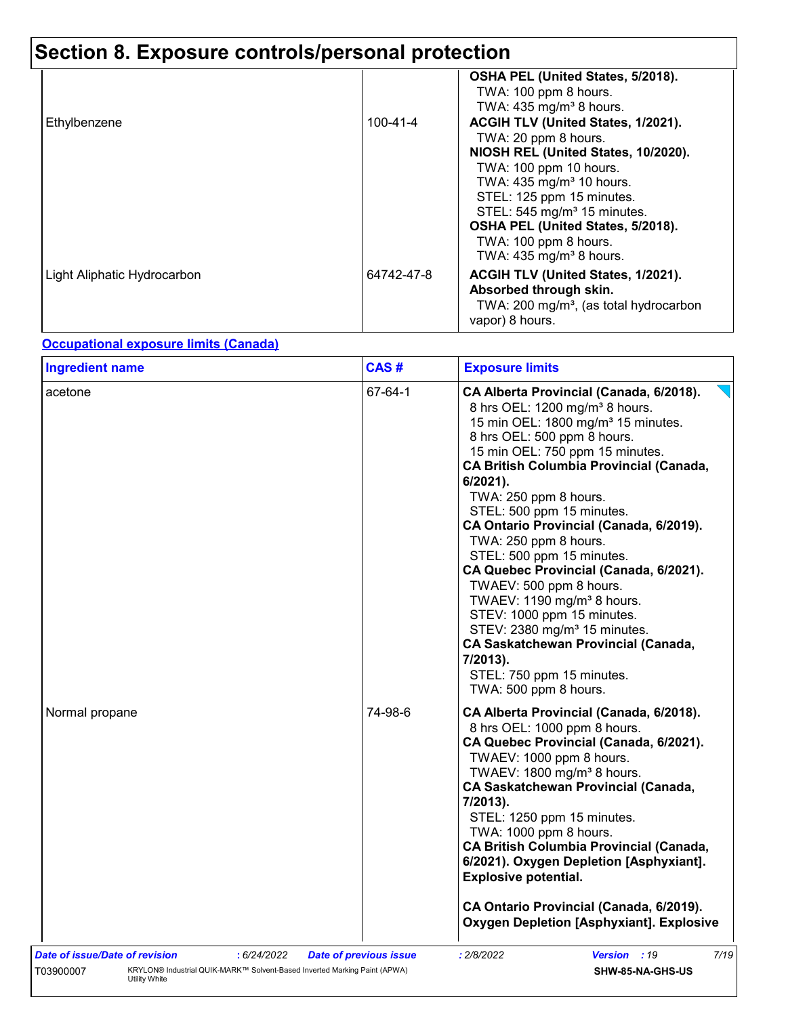|                             |            | OSHA PEL (United States, 5/2018).<br>TWA: 100 ppm 8 hours.<br>TWA: $435 \text{ mg/m}^3$ 8 hours.                                                                                                                                              |
|-----------------------------|------------|-----------------------------------------------------------------------------------------------------------------------------------------------------------------------------------------------------------------------------------------------|
| Ethylbenzene                | 100-41-4   | ACGIH TLV (United States, 1/2021).<br>TWA: 20 ppm 8 hours.<br>NIOSH REL (United States, 10/2020).                                                                                                                                             |
|                             |            | TWA: 100 ppm 10 hours.<br>TWA: 435 mg/m <sup>3</sup> 10 hours.<br>STEL: 125 ppm 15 minutes.<br>STEL: 545 mg/m <sup>3</sup> 15 minutes.<br>OSHA PEL (United States, 5/2018).<br>TWA: 100 ppm 8 hours.<br>TWA: $435$ mg/m <sup>3</sup> 8 hours. |
| Light Aliphatic Hydrocarbon | 64742-47-8 | ACGIH TLV (United States, 1/2021).<br>Absorbed through skin.<br>TWA: 200 mg/m <sup>3</sup> , (as total hydrocarbon<br>vapor) 8 hours.                                                                                                         |

#### **Occupational exposure limits (Canada)**

| acetone        | 67-64-1 | CA Alberta Provincial (Canada, 6/2018).<br>8 hrs OEL: 1200 mg/m <sup>3</sup> 8 hours.<br>15 min OEL: 1800 mg/m <sup>3</sup> 15 minutes.<br>8 hrs OEL: 500 ppm 8 hours.                                                                                                                                                                                                                                                                                                                                                                                        |
|----------------|---------|---------------------------------------------------------------------------------------------------------------------------------------------------------------------------------------------------------------------------------------------------------------------------------------------------------------------------------------------------------------------------------------------------------------------------------------------------------------------------------------------------------------------------------------------------------------|
|                |         | 15 min OEL: 750 ppm 15 minutes.<br><b>CA British Columbia Provincial (Canada,</b><br>6/2021).<br>TWA: 250 ppm 8 hours.<br>STEL: 500 ppm 15 minutes.<br>CA Ontario Provincial (Canada, 6/2019).<br>TWA: 250 ppm 8 hours.<br>STEL: 500 ppm 15 minutes.<br>CA Quebec Provincial (Canada, 6/2021).<br>TWAEV: 500 ppm 8 hours.<br>TWAEV: 1190 mg/m <sup>3</sup> 8 hours.<br>STEV: 1000 ppm 15 minutes.<br>STEV: 2380 mg/m <sup>3</sup> 15 minutes.<br><b>CA Saskatchewan Provincial (Canada,</b><br>7/2013).<br>STEL: 750 ppm 15 minutes.<br>TWA: 500 ppm 8 hours. |
| Normal propane | 74-98-6 | CA Alberta Provincial (Canada, 6/2018).<br>8 hrs OEL: 1000 ppm 8 hours.<br>CA Quebec Provincial (Canada, 6/2021).<br>TWAEV: 1000 ppm 8 hours.<br>TWAEV: 1800 mg/m <sup>3</sup> 8 hours.<br><b>CA Saskatchewan Provincial (Canada,</b><br>7/2013).<br>STEL: 1250 ppm 15 minutes.<br>TWA: 1000 ppm 8 hours.<br><b>CA British Columbia Provincial (Canada,</b><br>6/2021). Oxygen Depletion [Asphyxiant].<br><b>Explosive potential.</b><br>CA Ontario Provincial (Canada, 6/2019).<br><b>Oxygen Depletion [Asphyxiant]. Explosive</b>                           |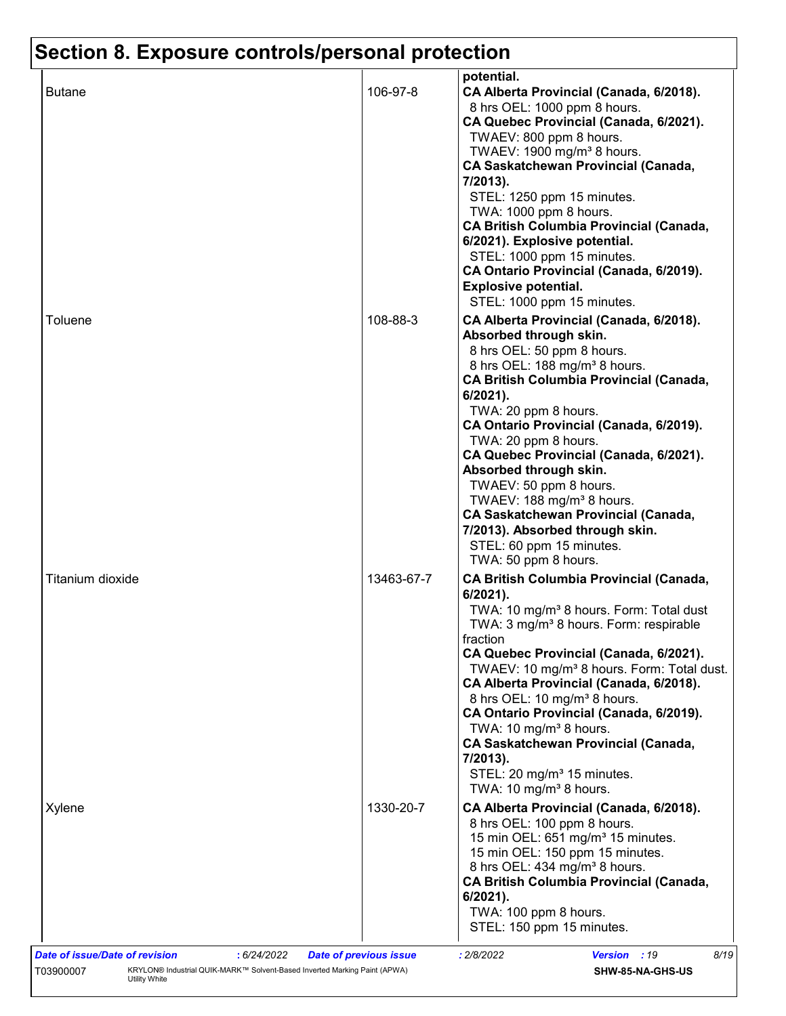|                  |            | potential.                                                                                                                                                                                                                                                                                                                                                                                                                                                                                                                                                                                                   |
|------------------|------------|--------------------------------------------------------------------------------------------------------------------------------------------------------------------------------------------------------------------------------------------------------------------------------------------------------------------------------------------------------------------------------------------------------------------------------------------------------------------------------------------------------------------------------------------------------------------------------------------------------------|
| <b>Butane</b>    | 106-97-8   | CA Alberta Provincial (Canada, 6/2018).<br>8 hrs OEL: 1000 ppm 8 hours.<br>CA Quebec Provincial (Canada, 6/2021).<br>TWAEV: 800 ppm 8 hours.<br>TWAEV: 1900 mg/m <sup>3</sup> 8 hours.<br><b>CA Saskatchewan Provincial (Canada,</b><br>7/2013).<br>STEL: 1250 ppm 15 minutes.<br>TWA: 1000 ppm 8 hours.<br><b>CA British Columbia Provincial (Canada,</b><br>6/2021). Explosive potential.                                                                                                                                                                                                                  |
| Toluene          | 108-88-3   | STEL: 1000 ppm 15 minutes.<br>CA Ontario Provincial (Canada, 6/2019).<br><b>Explosive potential.</b><br>STEL: 1000 ppm 15 minutes.<br>CA Alberta Provincial (Canada, 6/2018).<br>Absorbed through skin.                                                                                                                                                                                                                                                                                                                                                                                                      |
|                  |            | 8 hrs OEL: 50 ppm 8 hours.<br>8 hrs OEL: 188 mg/m <sup>3</sup> 8 hours.<br><b>CA British Columbia Provincial (Canada,</b><br>6/2021).<br>TWA: 20 ppm 8 hours.<br>CA Ontario Provincial (Canada, 6/2019).<br>TWA: 20 ppm 8 hours.<br>CA Quebec Provincial (Canada, 6/2021).<br>Absorbed through skin.<br>TWAEV: 50 ppm 8 hours.<br>TWAEV: 188 mg/m <sup>3</sup> 8 hours.<br><b>CA Saskatchewan Provincial (Canada,</b><br>7/2013). Absorbed through skin.<br>STEL: 60 ppm 15 minutes.<br>TWA: 50 ppm 8 hours.                                                                                                 |
| Titanium dioxide | 13463-67-7 | <b>CA British Columbia Provincial (Canada,</b><br>$6/2021$ ).<br>TWA: 10 mg/m <sup>3</sup> 8 hours. Form: Total dust<br>TWA: 3 mg/m <sup>3</sup> 8 hours. Form: respirable<br>fraction<br>CA Quebec Provincial (Canada, 6/2021).<br>TWAEV: 10 mg/m <sup>3</sup> 8 hours. Form: Total dust.<br>CA Alberta Provincial (Canada, 6/2018).<br>8 hrs OEL: 10 mg/m <sup>3</sup> 8 hours.<br>CA Ontario Provincial (Canada, 6/2019).<br>TWA: 10 mg/m <sup>3</sup> 8 hours.<br><b>CA Saskatchewan Provincial (Canada,</b><br>7/2013).<br>STEL: 20 mg/m <sup>3</sup> 15 minutes.<br>TWA: 10 mg/m <sup>3</sup> 8 hours. |
| Xylene           | 1330-20-7  | CA Alberta Provincial (Canada, 6/2018).<br>8 hrs OEL: 100 ppm 8 hours.<br>15 min OEL: 651 mg/m <sup>3</sup> 15 minutes.<br>15 min OEL: 150 ppm 15 minutes.<br>8 hrs OEL: 434 mg/m <sup>3</sup> 8 hours.<br><b>CA British Columbia Provincial (Canada,</b><br>6/2021).<br>TWA: 100 ppm 8 hours.<br>STEL: 150 ppm 15 minutes.                                                                                                                                                                                                                                                                                  |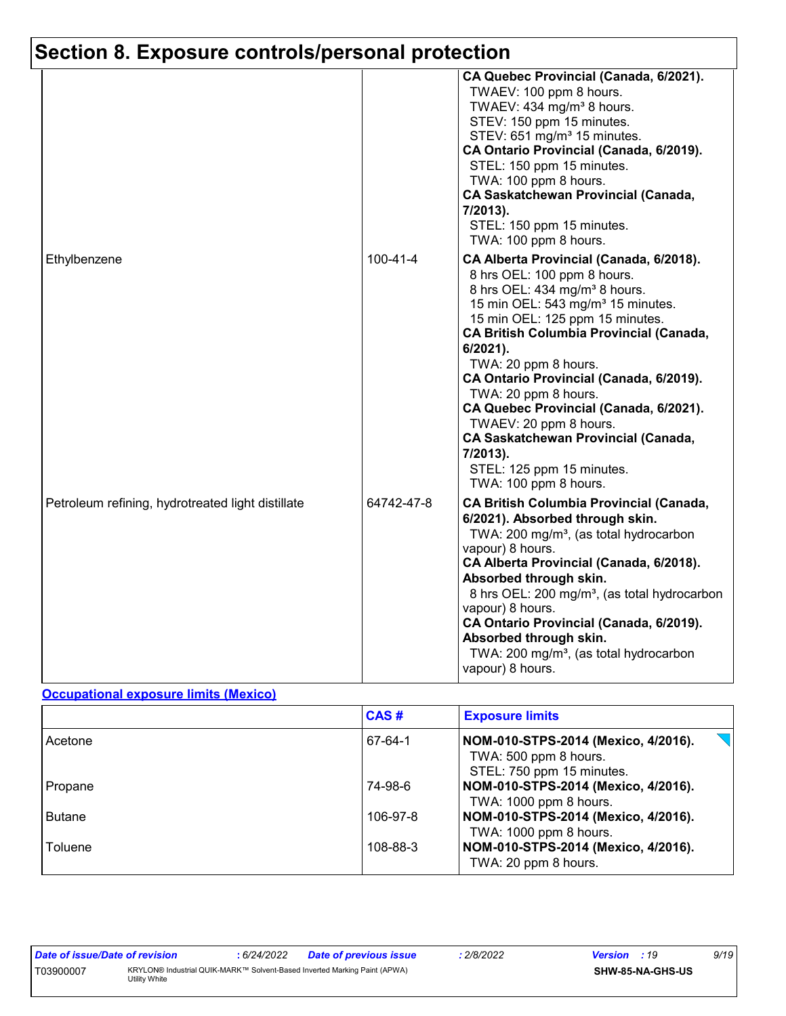|                                                   |            | CA Quebec Provincial (Canada, 6/2021).<br>TWAEV: 100 ppm 8 hours.<br>TWAEV: 434 mg/m <sup>3</sup> 8 hours.<br>STEV: 150 ppm 15 minutes.<br>STEV: 651 mg/m <sup>3</sup> 15 minutes.<br>CA Ontario Provincial (Canada, 6/2019).<br>STEL: 150 ppm 15 minutes.<br>TWA: 100 ppm 8 hours.<br><b>CA Saskatchewan Provincial (Canada,</b><br>7/2013).<br>STEL: 150 ppm 15 minutes.<br>TWA: 100 ppm 8 hours.                                                                                                                                                  |
|---------------------------------------------------|------------|------------------------------------------------------------------------------------------------------------------------------------------------------------------------------------------------------------------------------------------------------------------------------------------------------------------------------------------------------------------------------------------------------------------------------------------------------------------------------------------------------------------------------------------------------|
| Ethylbenzene                                      | 100-41-4   | CA Alberta Provincial (Canada, 6/2018).<br>8 hrs OEL: 100 ppm 8 hours.<br>8 hrs OEL: 434 mg/m <sup>3</sup> 8 hours.<br>15 min OEL: 543 mg/m <sup>3</sup> 15 minutes.<br>15 min OEL: 125 ppm 15 minutes.<br><b>CA British Columbia Provincial (Canada,</b><br>6/2021).<br>TWA: 20 ppm 8 hours.<br>CA Ontario Provincial (Canada, 6/2019).<br>TWA: 20 ppm 8 hours.<br>CA Quebec Provincial (Canada, 6/2021).<br>TWAEV: 20 ppm 8 hours.<br><b>CA Saskatchewan Provincial (Canada,</b><br>7/2013).<br>STEL: 125 ppm 15 minutes.<br>TWA: 100 ppm 8 hours. |
| Petroleum refining, hydrotreated light distillate | 64742-47-8 | <b>CA British Columbia Provincial (Canada,</b><br>6/2021). Absorbed through skin.<br>TWA: 200 mg/m <sup>3</sup> , (as total hydrocarbon<br>vapour) 8 hours.<br>CA Alberta Provincial (Canada, 6/2018).<br>Absorbed through skin.<br>8 hrs OEL: 200 mg/m <sup>3</sup> , (as total hydrocarbon<br>vapour) 8 hours.<br>CA Ontario Provincial (Canada, 6/2019).<br>Absorbed through skin.<br>TWA: 200 mg/m <sup>3</sup> , (as total hydrocarbon<br>vapour) 8 hours.                                                                                      |

#### **Occupational exposure limits (Mexico)**

|               | CAS#     | <b>Exposure limits</b>                                                                                     |
|---------------|----------|------------------------------------------------------------------------------------------------------------|
| Acetone       | 67-64-1  | $\leq$ $\Box$<br>NOM-010-STPS-2014 (Mexico, 4/2016).<br>TWA: 500 ppm 8 hours.<br>STEL: 750 ppm 15 minutes. |
| Propane       | 74-98-6  | NOM-010-STPS-2014 (Mexico, 4/2016).<br>TWA: 1000 ppm 8 hours.                                              |
| <b>Butane</b> | 106-97-8 | NOM-010-STPS-2014 (Mexico, 4/2016).<br>TWA: 1000 ppm 8 hours.                                              |
| Toluene       | 108-88-3 | NOM-010-STPS-2014 (Mexico, 4/2016).<br>TWA: 20 ppm 8 hours.                                                |

| Date of issue/Date of revision |                                                                                            | 6/24/2022 | <b>Date of previous issue</b> | 2/8/2022 | <b>Version</b> : 19 |                         | 9/19 |
|--------------------------------|--------------------------------------------------------------------------------------------|-----------|-------------------------------|----------|---------------------|-------------------------|------|
| T03900007                      | KRYLON® Industrial QUIK-MARK™ Solvent-Based Inverted Marking Paint (APWA)<br>Utility White |           |                               |          |                     | <b>SHW-85-NA-GHS-US</b> |      |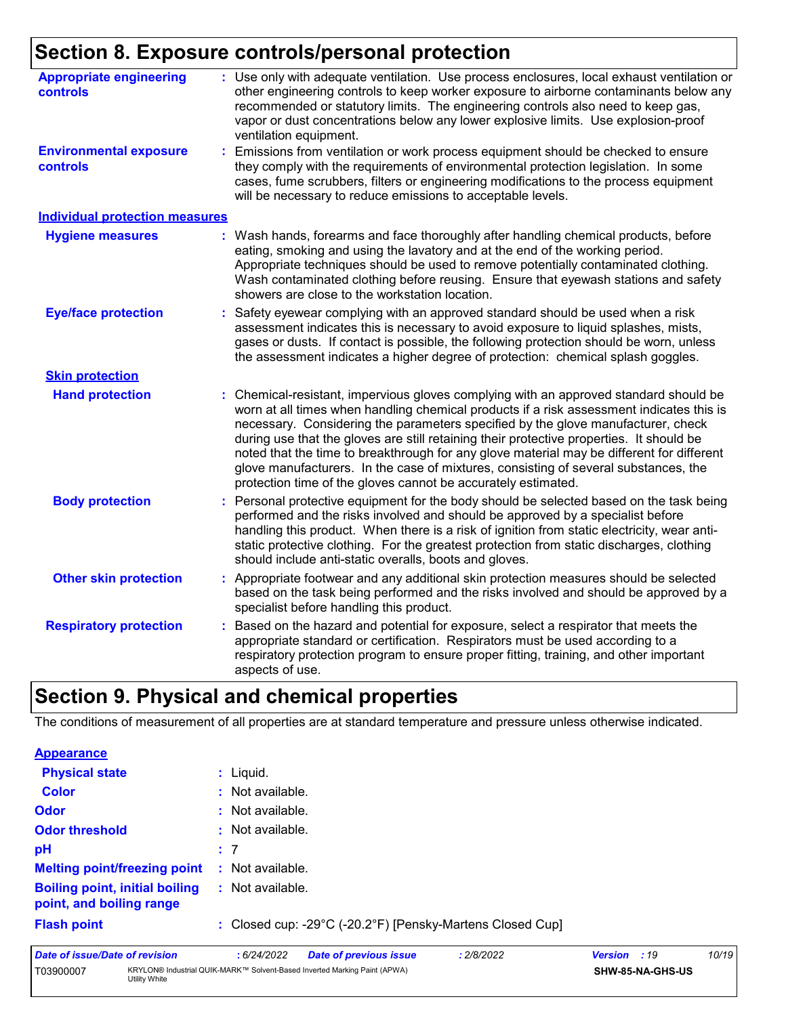| <b>Appropriate engineering</b><br>controls | : Use only with adequate ventilation. Use process enclosures, local exhaust ventilation or<br>other engineering controls to keep worker exposure to airborne contaminants below any<br>recommended or statutory limits. The engineering controls also need to keep gas,<br>vapor or dust concentrations below any lower explosive limits. Use explosion-proof<br>ventilation equipment.                                                                                                                                                                                                                                |
|--------------------------------------------|------------------------------------------------------------------------------------------------------------------------------------------------------------------------------------------------------------------------------------------------------------------------------------------------------------------------------------------------------------------------------------------------------------------------------------------------------------------------------------------------------------------------------------------------------------------------------------------------------------------------|
| <b>Environmental exposure</b><br>controls  | Emissions from ventilation or work process equipment should be checked to ensure<br>t.<br>they comply with the requirements of environmental protection legislation. In some<br>cases, fume scrubbers, filters or engineering modifications to the process equipment<br>will be necessary to reduce emissions to acceptable levels.                                                                                                                                                                                                                                                                                    |
| <b>Individual protection measures</b>      |                                                                                                                                                                                                                                                                                                                                                                                                                                                                                                                                                                                                                        |
| <b>Hygiene measures</b>                    | : Wash hands, forearms and face thoroughly after handling chemical products, before<br>eating, smoking and using the lavatory and at the end of the working period.<br>Appropriate techniques should be used to remove potentially contaminated clothing.<br>Wash contaminated clothing before reusing. Ensure that eyewash stations and safety<br>showers are close to the workstation location.                                                                                                                                                                                                                      |
| <b>Eye/face protection</b>                 | Safety eyewear complying with an approved standard should be used when a risk<br>assessment indicates this is necessary to avoid exposure to liquid splashes, mists,<br>gases or dusts. If contact is possible, the following protection should be worn, unless<br>the assessment indicates a higher degree of protection: chemical splash goggles.                                                                                                                                                                                                                                                                    |
| <b>Skin protection</b>                     |                                                                                                                                                                                                                                                                                                                                                                                                                                                                                                                                                                                                                        |
| <b>Hand protection</b>                     | : Chemical-resistant, impervious gloves complying with an approved standard should be<br>worn at all times when handling chemical products if a risk assessment indicates this is<br>necessary. Considering the parameters specified by the glove manufacturer, check<br>during use that the gloves are still retaining their protective properties. It should be<br>noted that the time to breakthrough for any glove material may be different for different<br>glove manufacturers. In the case of mixtures, consisting of several substances, the<br>protection time of the gloves cannot be accurately estimated. |
| <b>Body protection</b>                     | Personal protective equipment for the body should be selected based on the task being<br>performed and the risks involved and should be approved by a specialist before<br>handling this product. When there is a risk of ignition from static electricity, wear anti-<br>static protective clothing. For the greatest protection from static discharges, clothing<br>should include anti-static overalls, boots and gloves.                                                                                                                                                                                           |
| <b>Other skin protection</b>               | : Appropriate footwear and any additional skin protection measures should be selected<br>based on the task being performed and the risks involved and should be approved by a<br>specialist before handling this product.                                                                                                                                                                                                                                                                                                                                                                                              |
| <b>Respiratory protection</b>              | : Based on the hazard and potential for exposure, select a respirator that meets the<br>appropriate standard or certification. Respirators must be used according to a<br>respiratory protection program to ensure proper fitting, training, and other important<br>aspects of use.                                                                                                                                                                                                                                                                                                                                    |

## **Section 9. Physical and chemical properties**

The conditions of measurement of all properties are at standard temperature and pressure unless otherwise indicated.

| <b>Appearance</b>                                                 |                                                           |          |
|-------------------------------------------------------------------|-----------------------------------------------------------|----------|
| <b>Physical state</b>                                             | $:$ Liquid.                                               |          |
| <b>Color</b>                                                      | : Not available.                                          |          |
| <b>Odor</b>                                                       | : Not available.                                          |          |
| <b>Odor threshold</b>                                             | : Not available.                                          |          |
| pH                                                                | :7                                                        |          |
| <b>Melting point/freezing point</b>                               | : Not available.                                          |          |
| <b>Boiling point, initial boiling</b><br>point, and boiling range | : Not available.                                          |          |
| <b>Flash point</b>                                                | : Closed cup: -29°C (-20.2°F) [Pensky-Martens Closed Cup] |          |
| __________                                                        | 0.000000<br><b>A</b> <i>I</i> A <i>I</i> A AAA            | $\cdots$ |

| Date of issue/Date of revision |                                                                                            | : 6/24/2022 | <b>Date of previous issue</b> | 2/8/2022 | <b>Version</b> : 19 |                  | 10/19 |
|--------------------------------|--------------------------------------------------------------------------------------------|-------------|-------------------------------|----------|---------------------|------------------|-------|
| T03900007                      | KRYLON® Industrial QUIK-MARK™ Solvent-Based Inverted Marking Paint (APWA)<br>Utility White |             |                               |          |                     | SHW-85-NA-GHS-US |       |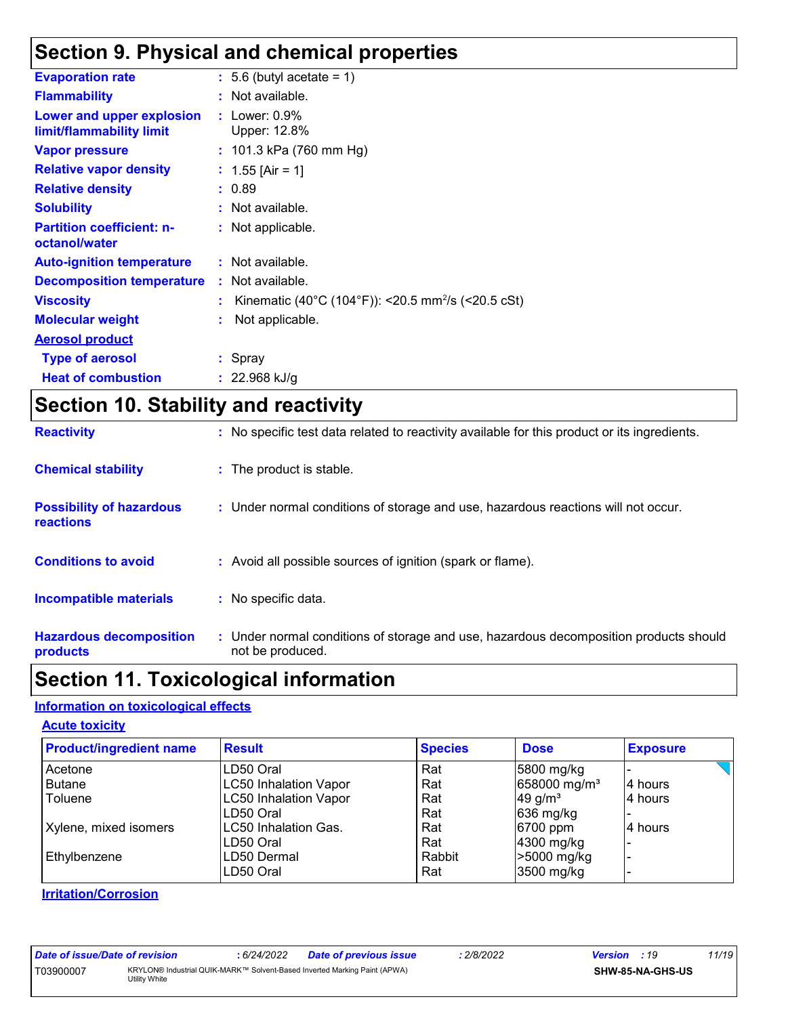## **Section 9. Physical and chemical properties**

| <b>Evaporation rate</b>                               | $\therefore$ 5.6 (butyl acetate = 1)                             |
|-------------------------------------------------------|------------------------------------------------------------------|
| <b>Flammability</b>                                   | : Not available.                                                 |
| Lower and upper explosion<br>limit/flammability limit | $:$ Lower: $0.9\%$<br>Upper: 12.8%                               |
| <b>Vapor pressure</b>                                 | : $101.3$ kPa (760 mm Hg)                                        |
| <b>Relative vapor density</b>                         | : $1.55$ [Air = 1]                                               |
| <b>Relative density</b>                               | : 0.89                                                           |
| <b>Solubility</b>                                     | : Not available.                                                 |
| <b>Partition coefficient: n-</b><br>octanol/water     | : Not applicable.                                                |
| <b>Auto-ignition temperature</b>                      | : Not available.                                                 |
| <b>Decomposition temperature</b>                      | : Not available.                                                 |
| <b>Viscosity</b>                                      | : Kinematic (40°C (104°F)): <20.5 mm <sup>2</sup> /s (<20.5 cSt) |
| <b>Molecular weight</b>                               | Not applicable.                                                  |
| <b>Aerosol product</b>                                |                                                                  |
| <b>Type of aerosol</b>                                | : Spray                                                          |
| <b>Heat of combustion</b>                             | : $22.968$ kJ/g                                                  |
|                                                       |                                                                  |

## **Section 10. Stability and reactivity**

| <b>Reactivity</b>                            | : No specific test data related to reactivity available for this product or its ingredients.              |
|----------------------------------------------|-----------------------------------------------------------------------------------------------------------|
| <b>Chemical stability</b>                    | : The product is stable.                                                                                  |
| <b>Possibility of hazardous</b><br>reactions | : Under normal conditions of storage and use, hazardous reactions will not occur.                         |
| <b>Conditions to avoid</b>                   | : Avoid all possible sources of ignition (spark or flame).                                                |
| <b>Incompatible materials</b>                | : No specific data.                                                                                       |
| <b>Hazardous decomposition</b><br>products   | : Under normal conditions of storage and use, hazardous decomposition products should<br>not be produced. |

## **Section 11. Toxicological information**

#### **Information on toxicological effects**

#### **Acute toxicity**

| <b>Product/ingredient name</b> | <b>Result</b>                | <b>Species</b> | <b>Dose</b>              | <b>Exposure</b> |
|--------------------------------|------------------------------|----------------|--------------------------|-----------------|
| Acetone                        | LD50 Oral                    | Rat            | 5800 mg/kg               |                 |
| Butane                         | <b>LC50 Inhalation Vapor</b> | Rat            | 658000 mg/m <sup>3</sup> | 4 hours         |
| Toluene                        | <b>LC50 Inhalation Vapor</b> | Rat            | 49 g/ $m3$               | 4 hours         |
|                                | LD50 Oral                    | Rat            | 636 mg/kg                |                 |
| Xylene, mixed isomers          | <b>LC50 Inhalation Gas.</b>  | Rat            | 6700 ppm                 | 4 hours         |
|                                | LD50 Oral                    | Rat            | 4300 mg/kg               |                 |
| Ethylbenzene                   | LD50 Dermal                  | Rabbit         | >5000 mg/kg              |                 |
|                                | LD50 Oral                    | Rat            | 3500 mg/kg               |                 |

#### **Irritation/Corrosion**

| Date of issue/Date of revision |                                                                                            | : 6/24/2022 | <b>Date of previous issue</b> | 2/8/2022 | <b>Version</b> : 19 |                  | 11/19 |
|--------------------------------|--------------------------------------------------------------------------------------------|-------------|-------------------------------|----------|---------------------|------------------|-------|
| T03900007                      | KRYLON® Industrial QUIK-MARK™ Solvent-Based Inverted Marking Paint (APWA)<br>Utility White |             |                               |          |                     | SHW-85-NA-GHS-US |       |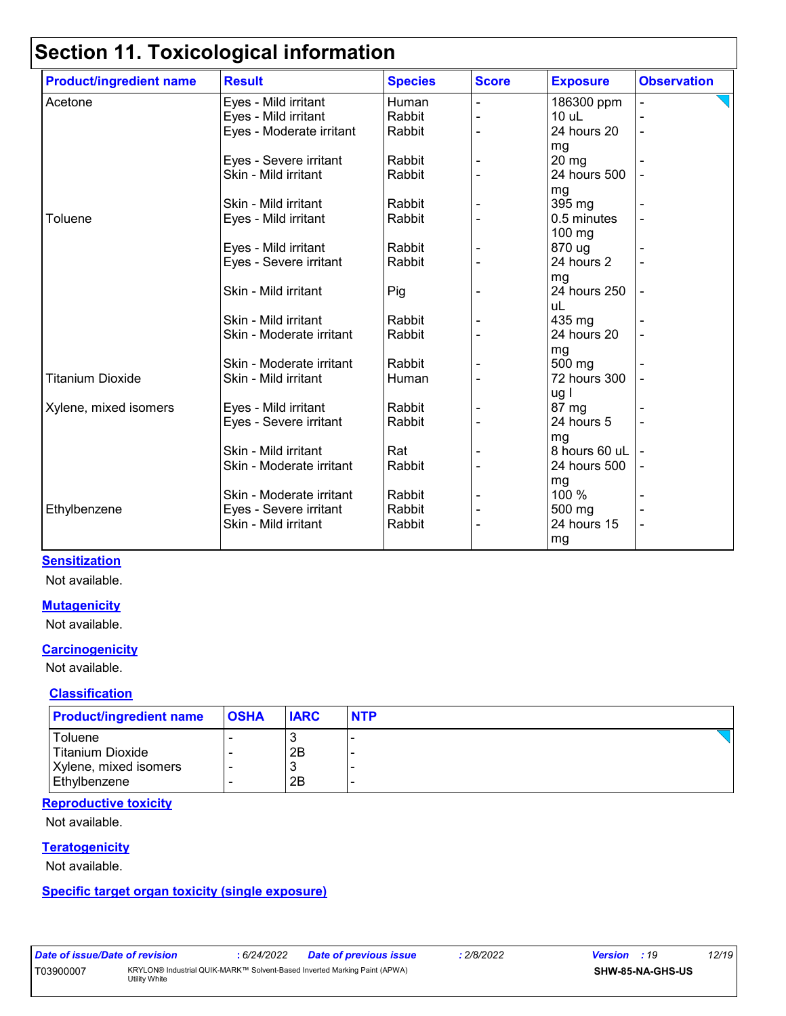| <b>Product/ingredient name</b> | <b>Result</b>            | <b>Species</b> | <b>Score</b> | <b>Exposure</b> | <b>Observation</b> |
|--------------------------------|--------------------------|----------------|--------------|-----------------|--------------------|
| Acetone                        | Eyes - Mild irritant     | Human          |              | 186300 ppm      |                    |
|                                | Eyes - Mild irritant     | Rabbit         |              | $10$ uL         |                    |
|                                | Eyes - Moderate irritant | Rabbit         |              | 24 hours 20     |                    |
|                                |                          |                |              | mg              |                    |
|                                | Eyes - Severe irritant   | Rabbit         |              | 20 mg           |                    |
|                                | Skin - Mild irritant     | Rabbit         |              | 24 hours 500    |                    |
|                                |                          |                |              | mg              |                    |
|                                | Skin - Mild irritant     | Rabbit         |              | 395 mg          |                    |
| Toluene                        | Eyes - Mild irritant     | Rabbit         |              | 0.5 minutes     |                    |
|                                |                          |                |              | $100$ mg        |                    |
|                                | Eyes - Mild irritant     | Rabbit         |              | 870 ug          |                    |
|                                | Eyes - Severe irritant   | Rabbit         |              | 24 hours 2      |                    |
|                                |                          |                |              | mg              |                    |
|                                | Skin - Mild irritant     | Pig            |              | 24 hours 250    |                    |
|                                |                          |                |              | uL              |                    |
|                                | Skin - Mild irritant     | Rabbit         |              | 435 mg          |                    |
|                                | Skin - Moderate irritant | Rabbit         |              | 24 hours 20     |                    |
|                                |                          |                |              | mg              |                    |
|                                | Skin - Moderate irritant | Rabbit         |              | 500 mg          |                    |
| <b>Titanium Dioxide</b>        | Skin - Mild irritant     | Human          |              | 72 hours 300    |                    |
|                                |                          |                |              | ug l            |                    |
| Xylene, mixed isomers          | Eyes - Mild irritant     | Rabbit         |              | 87 mg           |                    |
|                                | Eyes - Severe irritant   | Rabbit         |              | 24 hours 5      |                    |
|                                |                          |                |              | mg              |                    |
|                                | Skin - Mild irritant     | Rat            |              | 8 hours 60 uL   |                    |
|                                | Skin - Moderate irritant | Rabbit         |              | 24 hours 500    |                    |
|                                |                          |                |              | mg              |                    |
|                                | Skin - Moderate irritant | Rabbit         |              | 100 %           |                    |
| Ethylbenzene                   | Eyes - Severe irritant   | Rabbit         |              | 500 mg          |                    |
|                                | Skin - Mild irritant     | Rabbit         |              | 24 hours 15     |                    |
|                                |                          |                |              | mg              |                    |
|                                |                          |                |              |                 |                    |

#### **Sensitization**

Not available.

#### **Mutagenicity**

Not available.

#### **Carcinogenicity**

Not available.

#### **Classification**

| <b>Product/ingredient name</b> | <b>OSHA</b> | <b>IARC</b> | <b>NTP</b> |
|--------------------------------|-------------|-------------|------------|
| Toluene                        |             |             |            |
| <b>Titanium Dioxide</b>        |             | 2B          |            |
| Xylene, mixed isomers          |             |             |            |
| Ethylbenzene                   |             | 2B          |            |

#### **Reproductive toxicity**

Not available.

#### **Teratogenicity**

Not available.

#### **Specific target organ toxicity (single exposure)**

| Date of issue/Date of revision |                                                                                            | . 6/24/2022 | <b>Date of previous issue</b> | 2/8/2022 | <b>Version</b> : 19 |                         | 12/19 |
|--------------------------------|--------------------------------------------------------------------------------------------|-------------|-------------------------------|----------|---------------------|-------------------------|-------|
| T03900007                      | KRYLON® Industrial QUIK-MARK™ Solvent-Based Inverted Marking Paint (APWA)<br>Utility White |             |                               |          |                     | <b>SHW-85-NA-GHS-US</b> |       |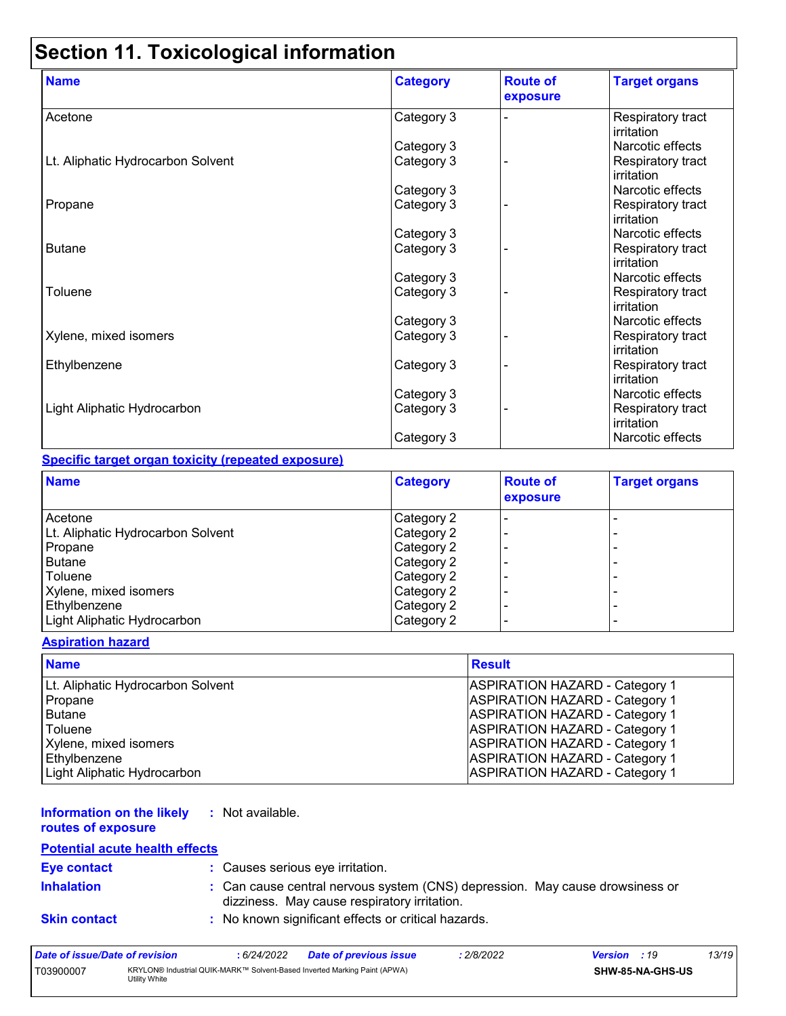| <b>Name</b>                       | <b>Category</b> | <b>Route of</b><br>exposure | <b>Target organs</b>            |
|-----------------------------------|-----------------|-----------------------------|---------------------------------|
| Acetone                           | Category 3      |                             | Respiratory tract<br>irritation |
|                                   | Category 3      |                             | Narcotic effects                |
| Lt. Aliphatic Hydrocarbon Solvent | Category 3      |                             | Respiratory tract<br>irritation |
|                                   | Category 3      |                             | Narcotic effects                |
| Propane                           | Category 3      |                             | Respiratory tract<br>irritation |
|                                   | Category 3      |                             | Narcotic effects                |
| <b>Butane</b>                     | Category 3      |                             | Respiratory tract<br>irritation |
|                                   | Category 3      |                             | Narcotic effects                |
| Toluene                           | Category 3      |                             | Respiratory tract<br>irritation |
|                                   | Category 3      |                             | Narcotic effects                |
| Xylene, mixed isomers             | Category 3      |                             | Respiratory tract<br>irritation |
| Ethylbenzene                      | Category 3      |                             | Respiratory tract<br>irritation |
|                                   | Category 3      |                             | Narcotic effects                |
| Light Aliphatic Hydrocarbon       | Category 3      |                             | Respiratory tract<br>irritation |
|                                   | Category 3      |                             | Narcotic effects                |

#### **Specific target organ toxicity (repeated exposure)**

| <b>Name</b>                       | <b>Category</b> | <b>Route of</b><br>exposure | <b>Target organs</b> |
|-----------------------------------|-----------------|-----------------------------|----------------------|
| Acetone                           | Category 2      |                             |                      |
| Lt. Aliphatic Hydrocarbon Solvent | Category 2      |                             | -                    |
| Propane                           | Category 2      |                             | -                    |
| <b>Butane</b>                     | Category 2      |                             |                      |
| Toluene                           | Category 2      |                             | -                    |
| Xylene, mixed isomers             | Category 2      |                             | -                    |
| Ethylbenzene                      | Category 2      |                             | -                    |
| Light Aliphatic Hydrocarbon       | Category 2      |                             | -                    |

#### **Aspiration hazard**

| <b>Name</b>                       | <b>Result</b>                         |
|-----------------------------------|---------------------------------------|
| Lt. Aliphatic Hydrocarbon Solvent | <b>ASPIRATION HAZARD - Category 1</b> |
| Propane                           | <b>ASPIRATION HAZARD - Category 1</b> |
| l Butane                          | <b>ASPIRATION HAZARD - Category 1</b> |
| Toluene                           | <b>ASPIRATION HAZARD - Category 1</b> |
| Xylene, mixed isomers             | <b>ASPIRATION HAZARD - Category 1</b> |
| Ethylbenzene                      | <b>ASPIRATION HAZARD - Category 1</b> |
| Light Aliphatic Hydrocarbon       | <b>ASPIRATION HAZARD - Category 1</b> |

#### **Information on the likely :** Not available.

**routes of exposure**

#### **Potential acute health effects**

| <b>Eye contact</b>  | : Causes serious eye irritation.                                                                                             |
|---------------------|------------------------------------------------------------------------------------------------------------------------------|
| <b>Inhalation</b>   | : Can cause central nervous system (CNS) depression. May cause drowsiness or<br>dizziness. May cause respiratory irritation. |
| <b>Skin contact</b> | : No known significant effects or critical hazards.                                                                          |

| Date of issue/Date of revision |               | 6/24/2022 | Date of previous issue                                                    | : 2/8/2022 | <b>Version</b> : 19 |                         | 13/19 |
|--------------------------------|---------------|-----------|---------------------------------------------------------------------------|------------|---------------------|-------------------------|-------|
| T03900007                      | Utility White |           | KRYLON® Industrial QUIK-MARK™ Solvent-Based Inverted Marking Paint (APWA) |            |                     | <b>SHW-85-NA-GHS-US</b> |       |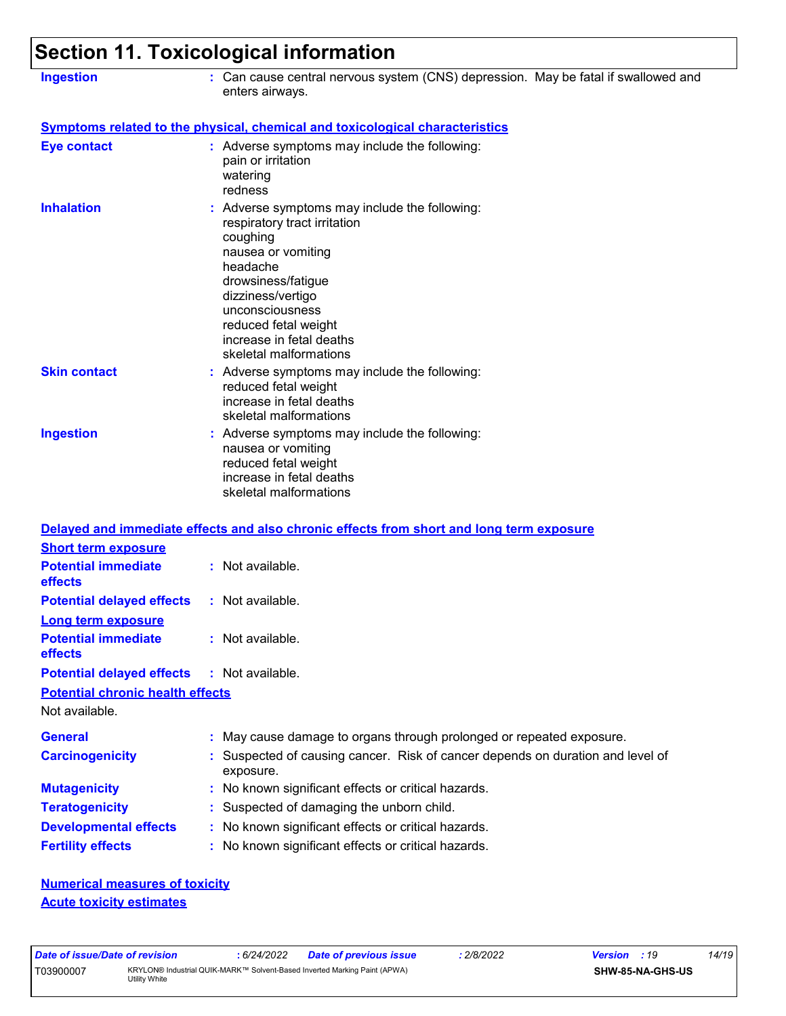| <b>Ingestion</b>                                          | 00000011 1 1 . TOAIGOIOGIGAI IIIIOITIIQ0011<br>: Can cause central nervous system (CNS) depression. May be fatal if swallowed and<br>enters airways.                                                                                                                    |
|-----------------------------------------------------------|-------------------------------------------------------------------------------------------------------------------------------------------------------------------------------------------------------------------------------------------------------------------------|
|                                                           | <b>Symptoms related to the physical, chemical and toxicological characteristics</b>                                                                                                                                                                                     |
| <b>Eye contact</b>                                        | : Adverse symptoms may include the following:<br>pain or irritation<br>watering<br>redness                                                                                                                                                                              |
| <b>Inhalation</b>                                         | : Adverse symptoms may include the following:<br>respiratory tract irritation<br>coughing<br>nausea or vomiting<br>headache<br>drowsiness/fatigue<br>dizziness/vertigo<br>unconsciousness<br>reduced fetal weight<br>increase in fetal deaths<br>skeletal malformations |
| <b>Skin contact</b>                                       | : Adverse symptoms may include the following:<br>reduced fetal weight<br>increase in fetal deaths<br>skeletal malformations                                                                                                                                             |
| <b>Ingestion</b>                                          | : Adverse symptoms may include the following:<br>nausea or vomiting<br>reduced fetal weight<br>increase in fetal deaths<br>skeletal malformations                                                                                                                       |
| <b>Short term exposure</b>                                | Delayed and immediate effects and also chronic effects from short and long term exposure                                                                                                                                                                                |
| <b>Potential immediate</b><br>effects                     | : Not available.                                                                                                                                                                                                                                                        |
| <b>Potential delayed effects</b><br>Long term exposure    | : Not available.                                                                                                                                                                                                                                                        |
| <b>Potential immediate</b><br>effects                     | : Not available.                                                                                                                                                                                                                                                        |
| <b>Potential delayed effects</b>                          | : Not available.                                                                                                                                                                                                                                                        |
| <b>Potential chronic health effects</b><br>Not available. |                                                                                                                                                                                                                                                                         |
| <b>General</b>                                            | : May cause damage to organs through prolonged or repeated exposure.                                                                                                                                                                                                    |
| <b>Carcinogenicity</b>                                    | : Suspected of causing cancer. Risk of cancer depends on duration and level of<br>exposure.                                                                                                                                                                             |
| <b>Mutagenicity</b>                                       | : No known significant effects or critical hazards.                                                                                                                                                                                                                     |
| <b>Teratogenicity</b>                                     | : Suspected of damaging the unborn child.                                                                                                                                                                                                                               |
| <b>Developmental effects</b>                              | : No known significant effects or critical hazards.                                                                                                                                                                                                                     |
| <b>Fertility effects</b>                                  | : No known significant effects or critical hazards.                                                                                                                                                                                                                     |
| <b>Numerical measures of toxicity</b>                     |                                                                                                                                                                                                                                                                         |

**Acute toxicity estimates**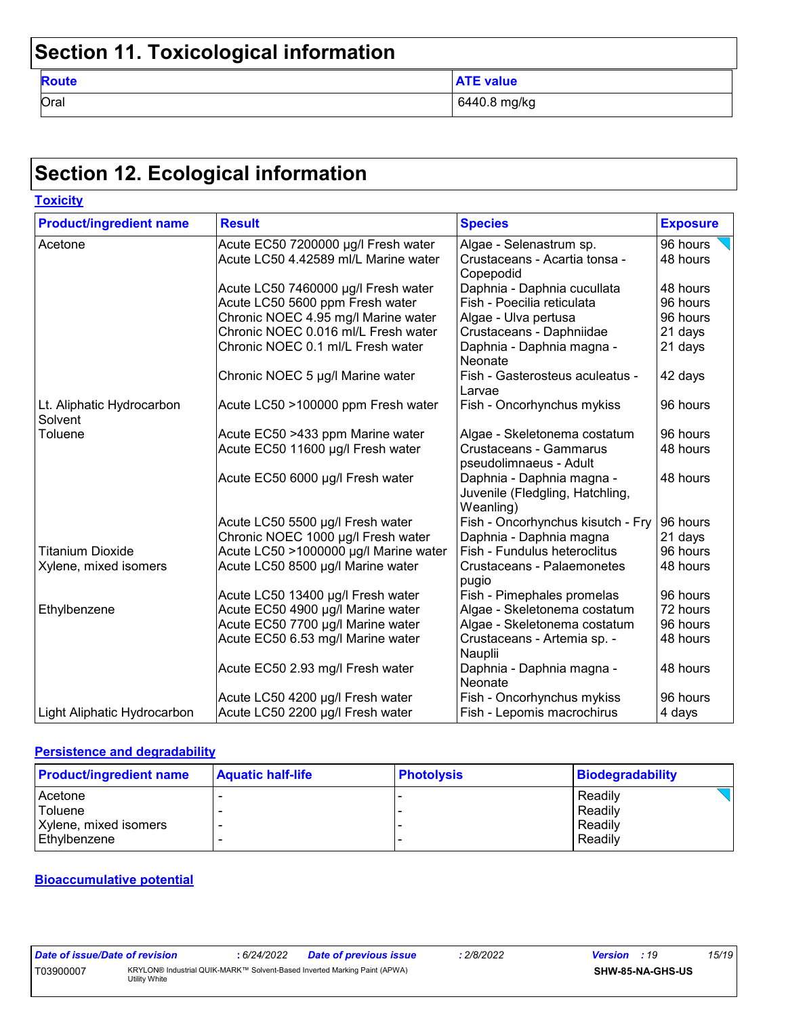| <b>Route</b> | <b>ATE value</b> |
|--------------|------------------|
| Oral         | 6440.8 mg/kg     |

# **Section 12. Ecological information**

**Toxicity**

| <b>Product/ingredient name</b>       | <b>Result</b>                         | <b>Species</b>                                                            | <b>Exposure</b> |
|--------------------------------------|---------------------------------------|---------------------------------------------------------------------------|-----------------|
| Acetone                              | Acute EC50 7200000 µg/l Fresh water   | Algae - Selenastrum sp.                                                   | 96 hours        |
|                                      | Acute LC50 4.42589 ml/L Marine water  | Crustaceans - Acartia tonsa -                                             | 48 hours        |
|                                      |                                       | Copepodid                                                                 |                 |
|                                      | Acute LC50 7460000 µg/l Fresh water   | Daphnia - Daphnia cucullata                                               | 48 hours        |
|                                      | Acute LC50 5600 ppm Fresh water       | Fish - Poecilia reticulata                                                | 96 hours        |
|                                      | Chronic NOEC 4.95 mg/l Marine water   | Algae - Ulva pertusa                                                      | 96 hours        |
|                                      | Chronic NOEC 0.016 ml/L Fresh water   | Crustaceans - Daphniidae                                                  | 21 days         |
|                                      | Chronic NOEC 0.1 ml/L Fresh water     | Daphnia - Daphnia magna -<br>Neonate                                      | 21 days         |
|                                      | Chronic NOEC 5 µg/l Marine water      | Fish - Gasterosteus aculeatus -<br>Larvae                                 | 42 days         |
| Lt. Aliphatic Hydrocarbon<br>Solvent | Acute LC50 >100000 ppm Fresh water    | Fish - Oncorhynchus mykiss                                                | 96 hours        |
| Toluene                              | Acute EC50 >433 ppm Marine water      | Algae - Skeletonema costatum                                              | 96 hours        |
|                                      | Acute EC50 11600 µg/l Fresh water     | Crustaceans - Gammarus                                                    | 48 hours        |
|                                      |                                       | pseudolimnaeus - Adult                                                    |                 |
|                                      | Acute EC50 6000 µg/l Fresh water      | Daphnia - Daphnia magna -<br>Juvenile (Fledgling, Hatchling,<br>Weanling) | 48 hours        |
|                                      | Acute LC50 5500 µg/l Fresh water      | Fish - Oncorhynchus kisutch - Fry                                         | 96 hours        |
|                                      | Chronic NOEC 1000 µg/l Fresh water    | Daphnia - Daphnia magna                                                   | 21 days         |
| <b>Titanium Dioxide</b>              | Acute LC50 >1000000 µg/l Marine water | Fish - Fundulus heteroclitus                                              | 96 hours        |
| Xylene, mixed isomers                | Acute LC50 8500 µg/l Marine water     | Crustaceans - Palaemonetes<br>48 hours<br>pugio                           |                 |
|                                      | Acute LC50 13400 µg/l Fresh water     | Fish - Pimephales promelas                                                | 96 hours        |
| Ethylbenzene                         | Acute EC50 4900 µg/l Marine water     | Algae - Skeletonema costatum                                              | 72 hours        |
|                                      | Acute EC50 7700 µg/l Marine water     | Algae - Skeletonema costatum                                              | 96 hours        |
|                                      | Acute EC50 6.53 mg/l Marine water     | Crustaceans - Artemia sp. -                                               | 48 hours        |
|                                      |                                       | Nauplii                                                                   |                 |
|                                      | Acute EC50 2.93 mg/l Fresh water      | Daphnia - Daphnia magna -                                                 | 48 hours        |
|                                      |                                       | Neonate                                                                   |                 |
|                                      | Acute LC50 4200 µg/l Fresh water      | Fish - Oncorhynchus mykiss                                                | 96 hours        |
| Light Aliphatic Hydrocarbon          | Acute LC50 2200 µg/l Fresh water      | Fish - Lepomis macrochirus                                                | 4 days          |

#### **Persistence and degradability**

| <b>Product/ingredient name</b> | <b>Aquatic half-life</b> | <b>Photolysis</b> | Biodegradability |
|--------------------------------|--------------------------|-------------------|------------------|
| Acetone                        |                          |                   | Readily          |
| <sup>I</sup> Toluene           |                          |                   | Readily          |
| Xylene, mixed isomers          |                          |                   | Readily          |
| l Ethvlbenzene                 |                          |                   | Readily          |

#### **Bioaccumulative potential**

| Date of issue/Date of revision |                                                                                            | 6/24/2022 | <b>Date of previous issue</b> | 2/8/2022 | <b>Version</b> : 19 |                         | 15/19 |
|--------------------------------|--------------------------------------------------------------------------------------------|-----------|-------------------------------|----------|---------------------|-------------------------|-------|
| T03900007                      | KRYLON® Industrial QUIK-MARK™ Solvent-Based Inverted Marking Paint (APWA)<br>Utility White |           |                               |          |                     | <b>SHW-85-NA-GHS-US</b> |       |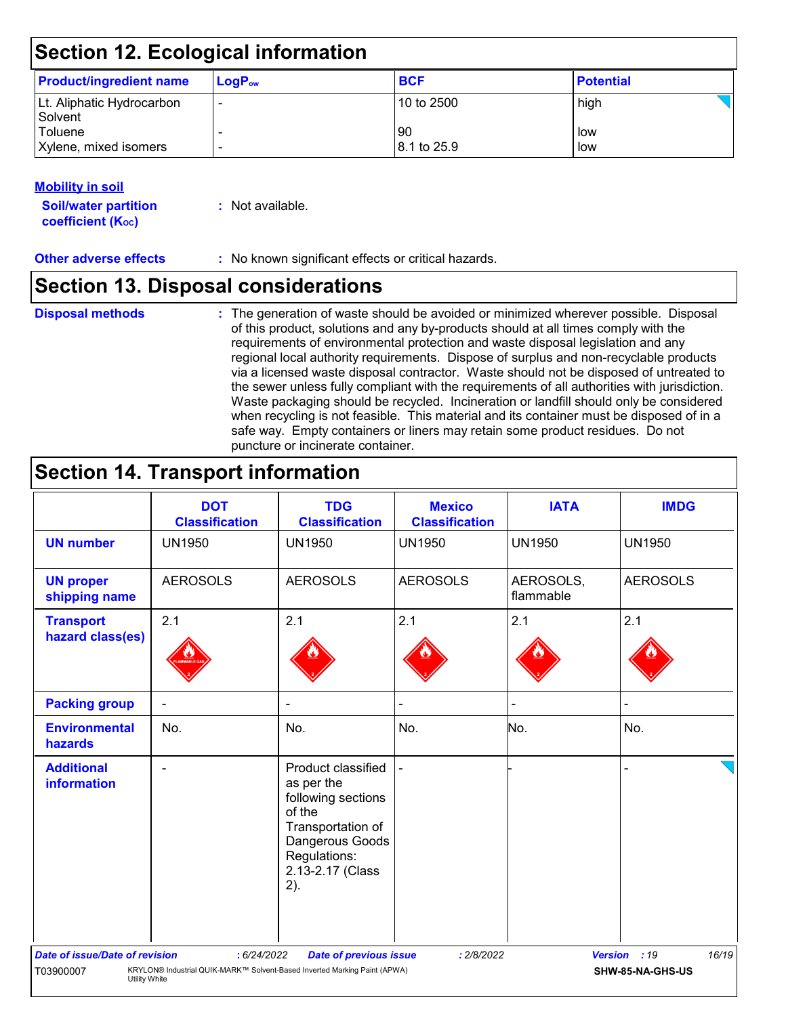| <b>Product/ingredient name</b>       | $\mathsf{LogP}_\mathsf{ow}$ | <b>BCF</b>                     | <b>Potential</b> |
|--------------------------------------|-----------------------------|--------------------------------|------------------|
| Lt. Aliphatic Hydrocarbon<br>Solvent |                             | 10 to 2500                     | high             |
| Toluene<br>Xylene, mixed isomers     | $\overline{\phantom{0}}$    | -90<br>$ 8.1 \text{ to } 25.9$ | low<br>low       |

#### **Mobility in soil**

**Soil/water partition coefficient (Koc) :** Not available.

**Other adverse effects** : No known significant effects or critical hazards.

### **Section 13. Disposal considerations**

#### **Disposal methods :**

The generation of waste should be avoided or minimized wherever possible. Disposal of this product, solutions and any by-products should at all times comply with the requirements of environmental protection and waste disposal legislation and any regional local authority requirements. Dispose of surplus and non-recyclable products via a licensed waste disposal contractor. Waste should not be disposed of untreated to the sewer unless fully compliant with the requirements of all authorities with jurisdiction. Waste packaging should be recycled. Incineration or landfill should only be considered when recycling is not feasible. This material and its container must be disposed of in a safe way. Empty containers or liners may retain some product residues. Do not puncture or incinerate container.

## **Section 14. Transport information**

|                                                                                                                                                                                                                                                                    | <b>DOT</b><br><b>Classification</b> | <b>TDG</b><br><b>Classification</b>                                                                                                                 | <b>Mexico</b><br><b>Classification</b> | <b>IATA</b>            | <b>IMDG</b>     |  |
|--------------------------------------------------------------------------------------------------------------------------------------------------------------------------------------------------------------------------------------------------------------------|-------------------------------------|-----------------------------------------------------------------------------------------------------------------------------------------------------|----------------------------------------|------------------------|-----------------|--|
| <b>UN number</b>                                                                                                                                                                                                                                                   | <b>UN1950</b>                       | <b>UN1950</b>                                                                                                                                       | <b>UN1950</b>                          | <b>UN1950</b>          | <b>UN1950</b>   |  |
| <b>UN proper</b><br>shipping name                                                                                                                                                                                                                                  | <b>AEROSOLS</b>                     | <b>AEROSOLS</b>                                                                                                                                     | <b>AEROSOLS</b>                        | AEROSOLS,<br>flammable | <b>AEROSOLS</b> |  |
| <b>Transport</b><br>hazard class(es)                                                                                                                                                                                                                               | 2.1                                 | 2.1                                                                                                                                                 | 2.1                                    | 2.1                    | 2.1             |  |
| <b>Packing group</b>                                                                                                                                                                                                                                               | $\blacksquare$                      | $\overline{\phantom{a}}$                                                                                                                            |                                        |                        |                 |  |
| <b>Environmental</b><br>hazards                                                                                                                                                                                                                                    | No.                                 | No.                                                                                                                                                 | No.                                    | No.                    | No.             |  |
| <b>Additional</b><br><b>information</b>                                                                                                                                                                                                                            |                                     | Product classified<br>as per the<br>following sections<br>of the<br>Transportation of<br>Dangerous Goods<br>Regulations:<br>2.13-2.17 (Class<br>2). |                                        |                        |                 |  |
| Version : 19<br>16/19<br><b>Date of issue/Date of revision</b><br>: 6/24/2022<br><b>Date of previous issue</b><br>: 2/8/2022<br>KRYLON® Industrial QUIK-MARK™ Solvent-Based Inverted Marking Paint (APWA)<br>SHW-85-NA-GHS-US<br>T03900007<br><b>Utility White</b> |                                     |                                                                                                                                                     |                                        |                        |                 |  |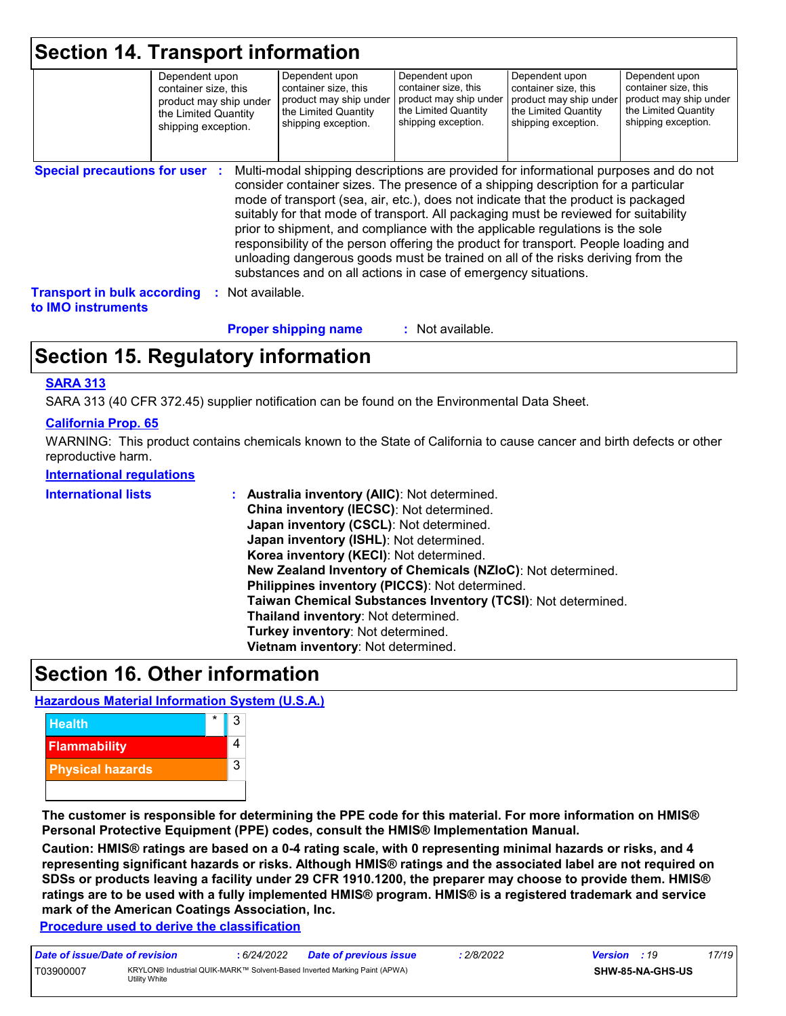| <b>Section 14. Transport information</b>                 | Dependent upon<br>container size, this<br>product may ship under<br>the Limited Quantity<br>shipping exception. | Dependent upon<br>container size, this<br>product may ship under<br>the Limited Quantity<br>shipping exception.                                                                                                                                                                                                                                                                                                                                                                                                                                                                                                                                                                     | Dependent upon<br>container size, this<br>product may ship under<br>the Limited Quantity<br>shipping exception. | Dependent upon<br>container size, this<br>product may ship under<br>the Limited Quantity<br>shipping exception. | Dependent upon<br>container size, this<br>product may ship under<br>the Limited Quantity<br>shipping exception. |
|----------------------------------------------------------|-----------------------------------------------------------------------------------------------------------------|-------------------------------------------------------------------------------------------------------------------------------------------------------------------------------------------------------------------------------------------------------------------------------------------------------------------------------------------------------------------------------------------------------------------------------------------------------------------------------------------------------------------------------------------------------------------------------------------------------------------------------------------------------------------------------------|-----------------------------------------------------------------------------------------------------------------|-----------------------------------------------------------------------------------------------------------------|-----------------------------------------------------------------------------------------------------------------|
| <b>Special precautions for user :</b>                    |                                                                                                                 | Multi-modal shipping descriptions are provided for informational purposes and do not<br>consider container sizes. The presence of a shipping description for a particular<br>mode of transport (sea, air, etc.), does not indicate that the product is packaged<br>suitably for that mode of transport. All packaging must be reviewed for suitability<br>prior to shipment, and compliance with the applicable regulations is the sole<br>responsibility of the person offering the product for transport. People loading and<br>unloading dangerous goods must be trained on all of the risks deriving from the<br>substances and on all actions in case of emergency situations. |                                                                                                                 |                                                                                                                 |                                                                                                                 |
| <b>Transport in bulk according</b><br>to IMO instruments |                                                                                                                 | Not available.                                                                                                                                                                                                                                                                                                                                                                                                                                                                                                                                                                                                                                                                      |                                                                                                                 |                                                                                                                 |                                                                                                                 |
|                                                          |                                                                                                                 | <b>Proper shipping name</b>                                                                                                                                                                                                                                                                                                                                                                                                                                                                                                                                                                                                                                                         | : Not available.                                                                                                |                                                                                                                 |                                                                                                                 |

## **Section 15. Regulatory information**

#### **SARA 313**

SARA 313 (40 CFR 372.45) supplier notification can be found on the Environmental Data Sheet.

#### **California Prop. 65**

WARNING: This product contains chemicals known to the State of California to cause cancer and birth defects or other reproductive harm.

#### **International regulations**

| <b>International lists</b> | : Australia inventory (AIIC): Not determined.<br>China inventory (IECSC): Not determined.<br>Japan inventory (CSCL): Not determined.<br>Japan inventory (ISHL): Not determined.<br>Korea inventory (KECI): Not determined.<br>New Zealand Inventory of Chemicals (NZIoC): Not determined.<br>Philippines inventory (PICCS): Not determined.<br>Taiwan Chemical Substances Inventory (TCSI): Not determined.<br>Thailand inventory: Not determined.<br>Turkey inventory: Not determined. |
|----------------------------|-----------------------------------------------------------------------------------------------------------------------------------------------------------------------------------------------------------------------------------------------------------------------------------------------------------------------------------------------------------------------------------------------------------------------------------------------------------------------------------------|
|                            | Vietnam inventory: Not determined.                                                                                                                                                                                                                                                                                                                                                                                                                                                      |

### **Section 16. Other information**

#### **Hazardous Material Information System (U.S.A.)**



**The customer is responsible for determining the PPE code for this material. For more information on HMIS® Personal Protective Equipment (PPE) codes, consult the HMIS® Implementation Manual.**

**Caution: HMIS® ratings are based on a 0-4 rating scale, with 0 representing minimal hazards or risks, and 4 representing significant hazards or risks. Although HMIS® ratings and the associated label are not required on SDSs or products leaving a facility under 29 CFR 1910.1200, the preparer may choose to provide them. HMIS® ratings are to be used with a fully implemented HMIS® program. HMIS® is a registered trademark and service mark of the American Coatings Association, Inc.**

**Procedure used to derive the classification**

| Date of issue/Date of revision |               | 6/24/2022 | <b>Date of previous issue</b>                                             | 2/8/2022 | <b>Version</b> : 19 |                         | 17/19 |
|--------------------------------|---------------|-----------|---------------------------------------------------------------------------|----------|---------------------|-------------------------|-------|
| T03900007                      | Utilitv White |           | KRYLON® Industrial QUIK-MARK™ Solvent-Based Inverted Marking Paint (APWA) |          |                     | <b>SHW-85-NA-GHS-US</b> |       |